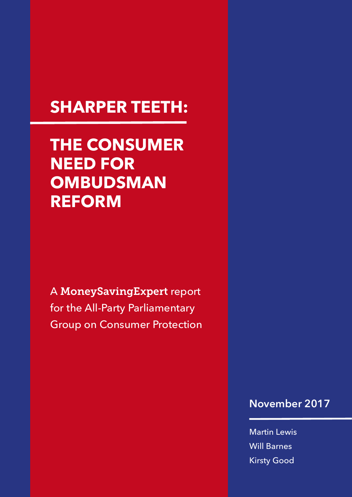# **SHARPER TEETH:**

**THE CONSUMER NEED FOR OMBUDSMAN REFORM** 

A MoneySavingExpert report for the All-Party Parliamentary Group on Consumer Protection

### **November 2017**

Martin Lewis Will Barnes Kirsty Good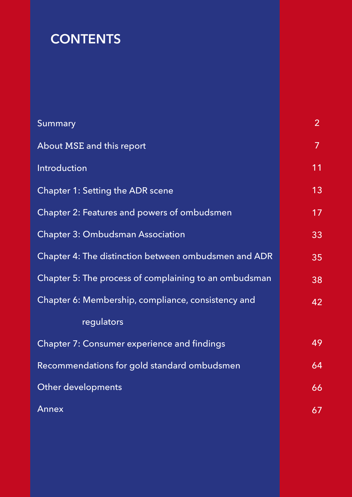# **CONTENTS**

| Summary                                               | $\overline{2}$ |
|-------------------------------------------------------|----------------|
| About MSE and this report                             | $\overline{7}$ |
| Introduction                                          | 11             |
| <b>Chapter 1: Setting the ADR scene</b>               | 13             |
| Chapter 2: Features and powers of ombudsmen           | 17             |
| <b>Chapter 3: Ombudsman Association</b>               | 33             |
| Chapter 4: The distinction between ombudsmen and ADR  | 35             |
| Chapter 5: The process of complaining to an ombudsman | 38             |
| Chapter 6: Membership, compliance, consistency and    | 42             |
| regulators                                            |                |
| <b>Chapter 7: Consumer experience and findings</b>    | 49             |
| Recommendations for gold standard ombudsmen           | 64             |
| Other developments                                    | 66             |
| Annex                                                 | 67             |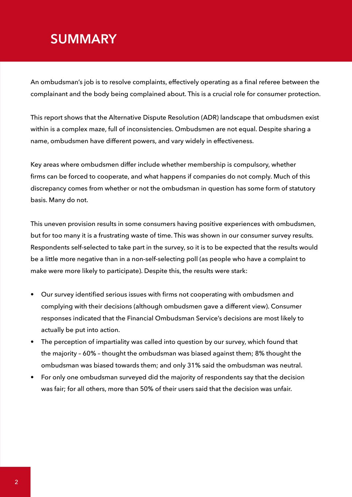## <span id="page-2-0"></span>**SUMMARY**

An ombudsman's job is to resolve complaints, effectively operating as a final referee between the complainant and the body being complained about. This is a crucial role for consumer protection.

This report shows that the Alternative Dispute Resolution (ADR) landscape that ombudsmen exist within is a complex maze, full of inconsistencies. Ombudsmen are not equal. Despite sharing a name, ombudsmen have different powers, and vary widely in effectiveness.

Key areas where ombudsmen differ include whether membership is compulsory, whether firms can be forced to cooperate, and what happens if companies do not comply. Much of this discrepancy comes from whether or not the ombudsman in question has some form of statutory basis. Many do not.

This uneven provision results in some consumers having positive experiences with ombudsmen, but for too many it is a frustrating waste of time. This was shown in our consumer survey results. Respondents self-selected to take part in the survey, so it is to be expected that the results would be a little more negative than in a non-self-selecting poll (as people who have a complaint to make were more likely to participate). Despite this, the results were stark:

- Our survey identified serious issues with firms not cooperating with ombudsmen and complying with their decisions (although ombudsmen gave a different view). Consumer responses indicated that the Financial Ombudsman Service's decisions are most likely to actually be put into action.
- The perception of impartiality was called into question by our survey, which found that the majority – 60% – thought the ombudsman was biased against them; 8% thought the ombudsman was biased towards them; and only 31% said the ombudsman was neutral.
- For only one ombudsman surveyed did the majority of respondents say that the decision was fair; for all others, more than 50% of their users said that the decision was unfair.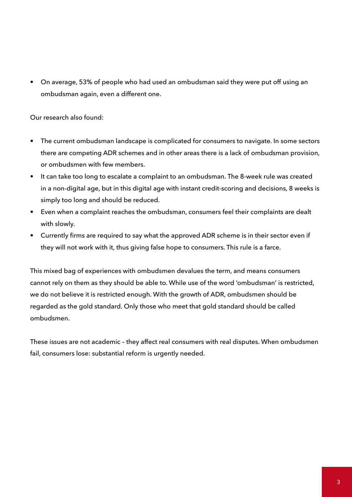• On average, 53% of people who had used an ombudsman said they were put off using an ombudsman again, even a different one.

Our research also found:

- The current ombudsman landscape is complicated for consumers to navigate. In some sectors there are competing ADR schemes and in other areas there is a lack of ombudsman provision, or ombudsmen with few members.
- It can take too long to escalate a complaint to an ombudsman. The 8-week rule was created in a non-digital age, but in this digital age with instant credit-scoring and decisions, 8 weeks is simply too long and should be reduced.
- Even when a complaint reaches the ombudsman, consumers feel their complaints are dealt with slowly.
- Currently firms are required to say what the approved ADR scheme is in their sector even if they will not work with it, thus giving false hope to consumers. This rule is a farce.

This mixed bag of experiences with ombudsmen devalues the term, and means consumers cannot rely on them as they should be able to. While use of the word 'ombudsman' is restricted, we do not believe it is restricted enough. With the growth of ADR, ombudsmen should be regarded as the gold standard. Only those who meet that gold standard should be called ombudsmen.

These issues are not academic – they affect real consumers with real disputes. When ombudsmen fail, consumers lose: substantial reform is urgently needed.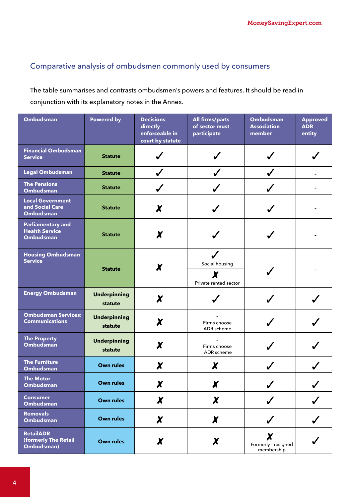### Comparative analysis of ombudsmen commonly used by consumers

The table summarises and contrasts ombudsmen's powers and features. It should be read in conjunction with its explanatory notes in the Annex.

| <b>Ombudsman</b>                                                      | <b>Powered by</b>              | <b>Decisions</b><br>directly<br>enforceable in<br>court by statute | <b>All firms/parts</b><br>of sector must<br>participate | <b>Ombudsman</b><br><b>Association</b><br>member | <b>Approved</b><br><b>ADR</b><br>entity |
|-----------------------------------------------------------------------|--------------------------------|--------------------------------------------------------------------|---------------------------------------------------------|--------------------------------------------------|-----------------------------------------|
| <b>Financial Ombudsman</b><br><b>Service</b>                          | <b>Statute</b>                 |                                                                    |                                                         |                                                  |                                         |
| <b>Legal Ombudsman</b>                                                | <b>Statute</b>                 |                                                                    |                                                         |                                                  |                                         |
| <b>The Pensions</b><br><b>Ombudsman</b>                               | <b>Statute</b>                 |                                                                    |                                                         |                                                  |                                         |
| <b>Local Government</b><br>and Social Care<br>Ombudsman               | <b>Statute</b>                 | X                                                                  |                                                         |                                                  |                                         |
| <b>Parliamentary and</b><br><b>Health Service</b><br><b>Ombudsman</b> | <b>Statute</b>                 | X                                                                  |                                                         |                                                  |                                         |
| <b>Housing Ombudsman</b><br><b>Service</b>                            | <b>Statute</b>                 |                                                                    | Social housing<br>X<br>Private rented sector            |                                                  |                                         |
| <b>Energy Ombudsman</b>                                               | <b>Underpinning</b><br>statute | X                                                                  |                                                         |                                                  |                                         |
| <b>Ombudsman Services:</b><br><b>Communications</b>                   | <b>Underpinning</b><br>statute | X                                                                  | Firms choose<br>ADR scheme                              |                                                  |                                         |
| <b>The Property</b><br><b>Ombudsman</b>                               | <b>Underpinning</b><br>statute | X                                                                  | Firms choose<br>ADR scheme                              |                                                  |                                         |
| <b>The Furniture</b><br><b>Ombudsman</b>                              | <b>Own rules</b>               | X                                                                  | X                                                       |                                                  |                                         |
| The Motor<br><b>Ombudsman</b>                                         | <b>Own rules</b>               | X                                                                  | X                                                       |                                                  |                                         |
| <b>Consumer</b><br>Ombudsman                                          | <b>Own rules</b>               | $\boldsymbol{X}$                                                   | $\chi$                                                  |                                                  |                                         |
| <b>Removals</b><br>Ombudsman                                          | <b>Own rules</b>               | $\boldsymbol{\chi}$                                                | $\boldsymbol{x}$                                        | $\checkmark$                                     | $\checkmark$                            |
| <b>RetailADR</b><br>(formerly The Retail<br>Ombudsman)                | <b>Own rules</b>               | X                                                                  | X                                                       | X<br>Formerly - resigned<br>membership           |                                         |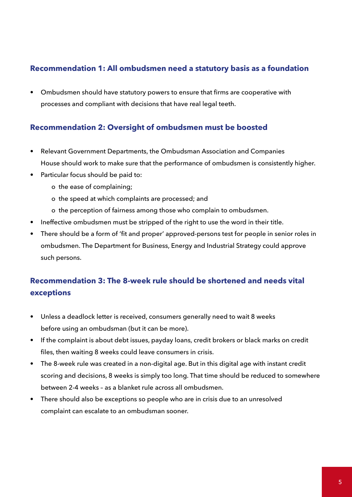### **Recommendation 1: All ombudsmen need a statutory basis as a foundation**

• Ombudsmen should have statutory powers to ensure that firms are cooperative with processes and compliant with decisions that have real legal teeth.

### **Recommendation 2: Oversight of ombudsmen must be boosted**

- Relevant Government Departments, the Ombudsman Association and Companies House should work to make sure that the performance of ombudsmen is consistently higher.
- Particular focus should be paid to:
	- o the ease of complaining;
	- o the speed at which complaints are processed; and
	- o the perception of fairness among those who complain to ombudsmen.
- Ineffective ombudsmen must be stripped of the right to use the word in their title.
- There should be a form of 'fit and proper' approved-persons test for people in senior roles in ombudsmen. The Department for Business, Energy and Industrial Strategy could approve such persons.

### **Recommendation 3: The 8-week rule should be shortened and needs vital exceptions**

- Unless a deadlock letter is received, consumers generally need to wait 8 weeks before using an ombudsman (but it can be more).
- If the complaint is about debt issues, payday loans, credit brokers or black marks on credit files, then waiting 8 weeks could leave consumers in crisis.
- The 8-week rule was created in a non-digital age. But in this digital age with instant credit scoring and decisions, 8 weeks is simply too long. That time should be reduced to somewhere between 2-4 weeks – as a blanket rule across all ombudsmen.
- There should also be exceptions so people who are in crisis due to an unresolved complaint can escalate to an ombudsman sooner.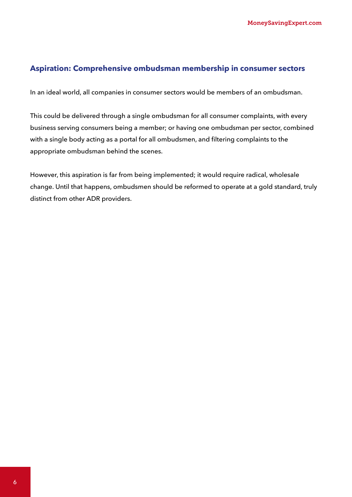#### **Aspiration: Comprehensive ombudsman membership in consumer sectors**

In an ideal world, all companies in consumer sectors would be members of an ombudsman.

This could be delivered through a single ombudsman for all consumer complaints, with every business serving consumers being a member; or having one ombudsman per sector, combined with a single body acting as a portal for all ombudsmen, and filtering complaints to the appropriate ombudsman behind the scenes.

However, this aspiration is far from being implemented; it would require radical, wholesale change. Until that happens, ombudsmen should be reformed to operate at a gold standard, truly distinct from other ADR providers.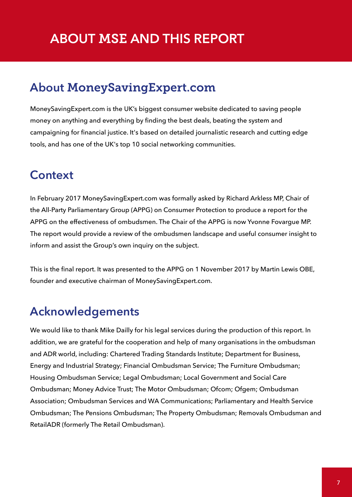## <span id="page-7-0"></span>**ABOUT** MSE **AND THIS REPORT**

### **About** MoneySavingExpert.com

MoneySavingExpert.com is the UK's biggest consumer website dedicated to saving people money on anything and everything by finding the best deals, beating the system and campaigning for financial justice. It's based on detailed journalistic research and cutting edge tools, and has one of the UK's top 10 social networking communities.

### **Context**

In February 2017 MoneySavingExpert.com was formally asked by Richard Arkless MP, Chair of the All-Party Parliamentary Group (APPG) on Consumer Protection to produce a report for the APPG on the effectiveness of ombudsmen. The Chair of the APPG is now Yvonne Fovargue MP. The report would provide a review of the ombudsmen landscape and useful consumer insight to inform and assist the Group's own inquiry on the subject.

This is the final report. It was presented to the APPG on 1 November 2017 by Martin Lewis OBE, founder and executive chairman of MoneySavingExpert.com.

## **Acknowledgements**

We would like to thank Mike Dailly for his legal services during the production of this report. In addition, we are grateful for the cooperation and help of many organisations in the ombudsman and ADR world, including: Chartered Trading Standards Institute; Department for Business, Energy and Industrial Strategy; Financial Ombudsman Service; The Furniture Ombudsman; Housing Ombudsman Service; Legal Ombudsman; Local Government and Social Care Ombudsman; Money Advice Trust; The Motor Ombudsman; Ofcom; Ofgem; Ombudsman Association; Ombudsman Services and WA Communications; Parliamentary and Health Service Ombudsman; The Pensions Ombudsman; The Property Ombudsman; Removals Ombudsman and RetailADR (formerly The Retail Ombudsman).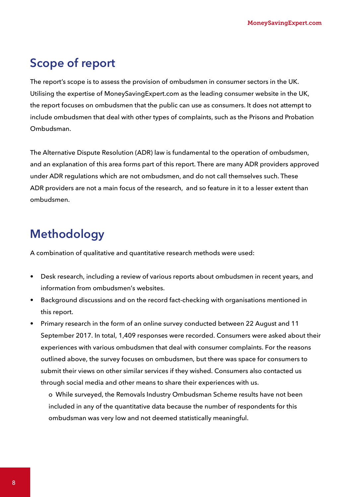## **Scope of report**

The report's scope is to assess the provision of ombudsmen in consumer sectors in the UK. Utilising the expertise of MoneySavingExpert.com as the leading consumer website in the UK, the report focuses on ombudsmen that the public can use as consumers. It does not attempt to include ombudsmen that deal with other types of complaints, such as the Prisons and Probation Ombudsman.

The Alternative Dispute Resolution (ADR) law is fundamental to the operation of ombudsmen, and an explanation of this area forms part of this report. There are many ADR providers approved under ADR regulations which are not ombudsmen, and do not call themselves such. These ADR providers are not a main focus of the research, and so feature in it to a lesser extent than ombudsmen.

## **Methodology**

A combination of qualitative and quantitative research methods were used:

- Desk research, including a review of various reports about ombudsmen in recent years, and information from ombudsmen's websites.
- Background discussions and on the record fact-checking with organisations mentioned in this report.
- Primary research in the form of an online survey conducted between 22 August and 11 September 2017. In total, 1,409 responses were recorded. Consumers were asked about their experiences with various ombudsmen that deal with consumer complaints. For the reasons outlined above, the survey focuses on ombudsmen, but there was space for consumers to submit their views on other similar services if they wished. Consumers also contacted us through social media and other means to share their experiences with us.

o While surveyed, the Removals Industry Ombudsman Scheme results have not been included in any of the quantitative data because the number of respondents for this ombudsman was very low and not deemed statistically meaningful.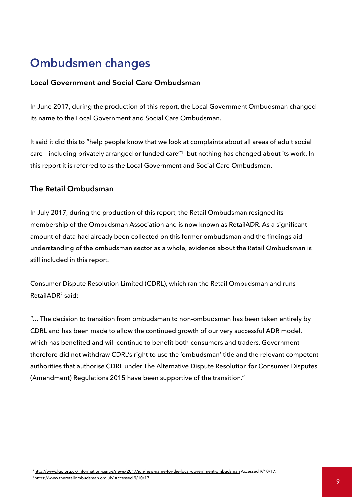## **Ombudsmen changes**

#### **Local Government and Social Care Ombudsman**

In June 2017, during the production of this report, the Local Government Ombudsman changed its name to the Local Government and Social Care Ombudsman.

It said it did this to "help people know that we look at complaints about all areas of adult social care – including privately arranged or funded care"1 but nothing has changed about its work. In this report it is referred to as the Local Government and Social Care Ombudsman.

#### **The Retail Ombudsman**

In July 2017, during the production of this report, the Retail Ombudsman resigned its membership of the Ombudsman Association and is now known as RetailADR. As a significant amount of data had already been collected on this former ombudsman and the findings aid understanding of the ombudsman sector as a whole, evidence about the Retail Ombudsman is still included in this report.

Consumer Dispute Resolution Limited (CDRL), which ran the Retail Ombudsman and runs RetailADR2 said:

"… The decision to transition from ombudsman to non-ombudsman has been taken entirely by CDRL and has been made to allow the continued growth of our very successful ADR model, which has benefited and will continue to benefit both consumers and traders. Government therefore did not withdraw CDRL's right to use the 'ombudsman' title and the relevant competent authorities that authorise CDRL under The Alternative Dispute Resolution for Consumer Disputes (Amendment) Regulations 2015 have been supportive of the transition."

<sup>1</sup> <http://www.lgo.org.uk/information-centre/news/2017/jun/new-name-for-the-local-government-ombudsman>Accessed 9/10/17.

 $^2$ <https://www.theretailombudsman.org.uk/> Accessed 9/10/17.  $\hbox{9}$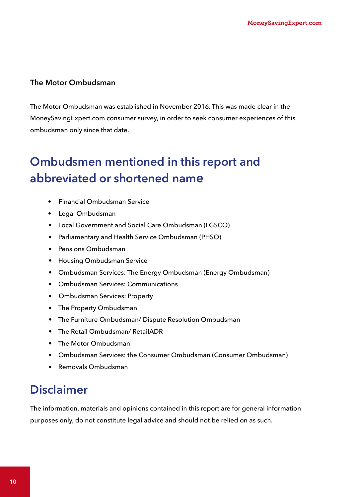#### **The Motor Ombudsman**

The Motor Ombudsman was established in November 2016. This was made clear in the MoneySavingExpert.com consumer survey, in order to seek consumer experiences of this ombudsman only since that date.

## **Ombudsmen mentioned in this report and abbreviated or shortened name**

- Financial Ombudsman Service
- Legal Ombudsman
- Local Government and Social Care Ombudsman (LGSCO)
- Parliamentary and Health Service Ombudsman (PHSO)
- Pensions Ombudsman
- Housing Ombudsman Service
- Ombudsman Services: The Energy Ombudsman (Energy Ombudsman)
- Ombudsman Services: Communications
- Ombudsman Services: Property
- The Property Ombudsman
- The Furniture Ombudsman/ Dispute Resolution Ombudsman
- The Retail Ombudsman/ RetailADR
- The Motor Ombudsman
- Ombudsman Services: the Consumer Ombudsman (Consumer Ombudsman)
- Removals Ombudsman

## **Disclaimer**

The information, materials and opinions contained in this report are for general information purposes only, do not constitute legal advice and should not be relied on as such.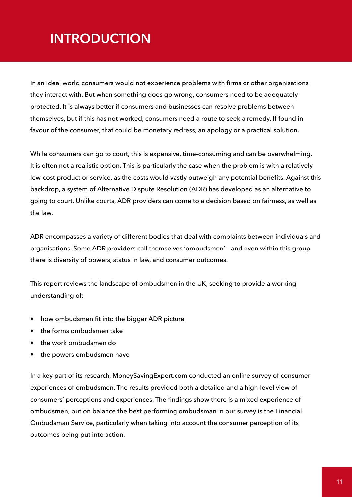## <span id="page-11-0"></span>**INTRODUCTION**

In an ideal world consumers would not experience problems with firms or other organisations they interact with. But when something does go wrong, consumers need to be adequately protected. It is always better if consumers and businesses can resolve problems between themselves, but if this has not worked, consumers need a route to seek a remedy. If found in favour of the consumer, that could be monetary redress, an apology or a practical solution.

While consumers can go to court, this is expensive, time-consuming and can be overwhelming. It is often not a realistic option. This is particularly the case when the problem is with a relatively low-cost product or service, as the costs would vastly outweigh any potential benefits. Against this backdrop, a system of Alternative Dispute Resolution (ADR) has developed as an alternative to going to court. Unlike courts, ADR providers can come to a decision based on fairness, as well as the law.

ADR encompasses a variety of different bodies that deal with complaints between individuals and organisations. Some ADR providers call themselves 'ombudsmen' – and even within this group there is diversity of powers, status in law, and consumer outcomes.

This report reviews the landscape of ombudsmen in the UK, seeking to provide a working understanding of:

- how ombudsmen fit into the bigger ADR picture
- the forms ombudsmen take
- the work ombudsmen do
- the powers ombudsmen have

In a key part of its research, MoneySavingExpert.com conducted an online survey of consumer experiences of ombudsmen. The results provided both a detailed and a high-level view of consumers' perceptions and experiences. The findings show there is a mixed experience of ombudsmen, but on balance the best performing ombudsman in our survey is the Financial Ombudsman Service, particularly when taking into account the consumer perception of its outcomes being put into action.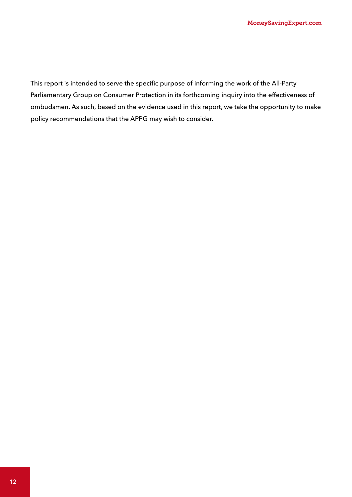This report is intended to serve the specific purpose of informing the work of the All-Party Parliamentary Group on Consumer Protection in its forthcoming inquiry into the effectiveness of ombudsmen. As such, based on the evidence used in this report, we take the opportunity to make policy recommendations that the APPG may wish to consider.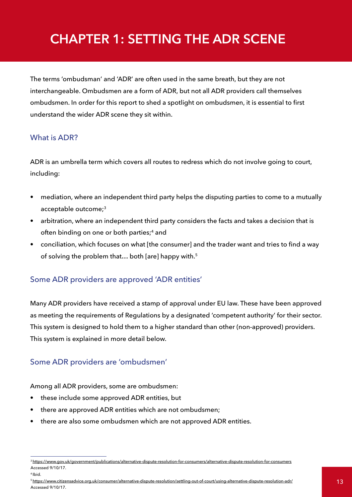# <span id="page-13-0"></span>**CHAPTER 1: SETTING THE ADR SCENE**

The terms 'ombudsman' and 'ADR' are often used in the same breath, but they are not interchangeable. Ombudsmen are a form of ADR, but not all ADR providers call themselves ombudsmen. In order for this report to shed a spotlight on ombudsmen, it is essential to first understand the wider ADR scene they sit within.

### What is ADR?

ADR is an umbrella term which covers all routes to redress which do not involve going to court, including:

- mediation, where an independent third party helps the disputing parties to come to a mutually acceptable outcome;<sup>3</sup>
- arbitration, where an independent third party considers the facts and takes a decision that is often binding on one or both parties;<sup>4</sup> and
- conciliation, which focuses on what [the consumer] and the trader want and tries to find a way of solving the problem that... both [are] happy with.<sup>5</sup>

### Some ADR providers are approved 'ADR entities'

Many ADR providers have received a stamp of approval under EU law. These have been approved as meeting the requirements of Regulations by a designated 'competent authority' for their sector. This system is designed to hold them to a higher standard than other (non-approved) providers. This system is explained in more detail below.

### Some ADR providers are 'ombudsmen'

Among all ADR providers, some are ombudsmen:

- these include some approved ADR entities, but
- there are approved ADR entities which are not ombudsmen;
- there are also some ombudsmen which are not approved ADR entities.

<sup>3</sup><https://www.gov.uk/government/publications/alternative-dispute-resolution-for-consumers/alternative-dispute-resolution-for-consumers> Accessed 9/10/17.

<sup>4</sup> Ibid.

<sup>5</sup> [https://www.citizensadvice.org.uk/consumer/alternative-dispute-resolution/settling-out-of-court/using-alternative-dispute-resolution-adr/](https://www.citizensadvice.org.uk/consumer/alternative-dispute-resolution/settling-out-of-court/usin) Accessed 9/10/17.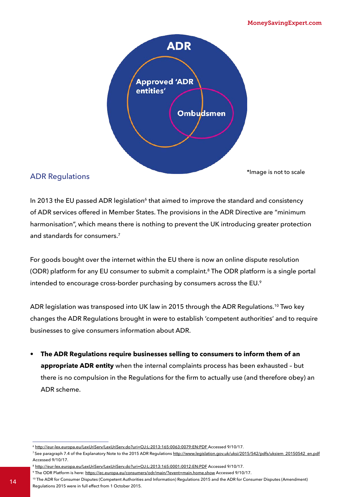

### ADR Regulations

\*Image is not to scale

In 2013 the EU passed ADR legislation<sup>6</sup> that aimed to improve the standard and consistency of ADR services offered in Member States. The provisions in the ADR Directive are "minimum harmonisation", which means there is nothing to prevent the UK introducing greater protection and standards for consumers.7

For goods bought over the internet within the EU there is now an online dispute resolution (ODR) platform for any EU consumer to submit a complaint.<sup>8</sup> The ODR platform is a single portal intended to encourage cross-border purchasing by consumers across the EU.<sup>9</sup>

ADR legislation was transposed into UK law in 2015 through the ADR Regulations.10 Two key changes the ADR Regulations brought in were to establish 'competent authorities' and to require businesses to give consumers information about ADR.

**• The ADR Regulations require businesses selling to consumers to inform them of an appropriate ADR entity** when the internal complaints process has been exhausted – but there is no compulsion in the Regulations for the firm to actually use (and therefore obey) an ADR scheme.

<sup>8</sup> <http://eur-lex.europa.eu/LexUriServ/LexUriServ.do?uri=OJ:L:2013:165:0001:0012:EN:PDF> Accessed 9/10/17.

<sup>6</sup> [http://eur-lex.europa.eu/LexUriServ/LexUriServ.do?uri=OJ:L:2013:165:0063:0079:EN:PDF]( http://eur-lex.europa.eu/LexUriServ/LexUriServ.do?uri=OJ:L:2013:165:0063:0079:EN:PDF ) Accessed 9/10/17.

<sup>&</sup>lt;sup>7</sup>See paragraph 7.4 of the Explanatory Note to the 2015 ADR Regulations http://www.legislation.gov.uk/uksi/2015/542/pdfs/uksiem\_20150542\_en.pdf Accessed 9/10/17.

<sup>9</sup> The ODR Platform is here:<https://ec.europa.eu/consumers/odr/main/?event=main.home.show>Accessed 9/10/17.

<sup>10</sup> The ADR for Consumer Disputes (Competent Authorities and Information) Regulations 2015 and the ADR for Consumer Disputes (Amendment) Regulations 2015 were in full effect from 1 October 2015.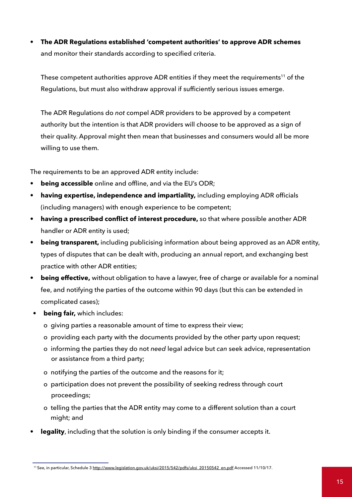**• The ADR Regulations established 'competent authorities' to approve ADR schemes** and monitor their standards according to specified criteria.

These competent authorities approve ADR entities if they meet the requirements<sup>11</sup> of the Regulations, but must also withdraw approval if sufficiently serious issues emerge.

The ADR Regulations do *not* compel ADR providers to be approved by a competent authority but the intention is that ADR providers will choose to be approved as a sign of their quality. Approval might then mean that businesses and consumers would all be more willing to use them.

The requirements to be an approved ADR entity include:

- **• being accessible** online and offline, and via the EU's ODR;
- **• having expertise, independence and impartiality,** including employing ADR officials (including managers) with enough experience to be competent;
- **• having a prescribed conflict of interest procedure,** so that where possible another ADR handler or ADR entity is used;
- **• being transparent,** including publicising information about being approved as an ADR entity, types of disputes that can be dealt with, producing an annual report, and exchanging best practice with other ADR entities;
- **• being effective,** without obligation to have a lawyer, free of charge or available for a nominal fee, and notifying the parties of the outcome within 90 days (but this can be extended in complicated cases);
- **• being fair,** which includes:
	- o giving parties a reasonable amount of time to express their view;
	- o providing each party with the documents provided by the other party upon request;
	- o informing the parties they do not *need* legal advice but *can* seek advice, representation or assistance from a third party;
	- o notifying the parties of the outcome and the reasons for it;
	- o participation does not prevent the possibility of seeking redress through court proceedings;
	- o telling the parties that the ADR entity may come to a different solution than a court might; and
- **• legality**, including that the solution is only binding if the consumer accepts it.

<sup>&</sup>lt;sup>11</sup> See, in particular, Schedule 3 [http://www.legislation.gov.uk/uksi/2015/542/pdfs/uksi\\_20150542\\_en.pdf](ttp://www.legislation.gov.uk/uksi/2015/542/pdfs/uksi_20150542_en.pdf) Accessed 11/10/17.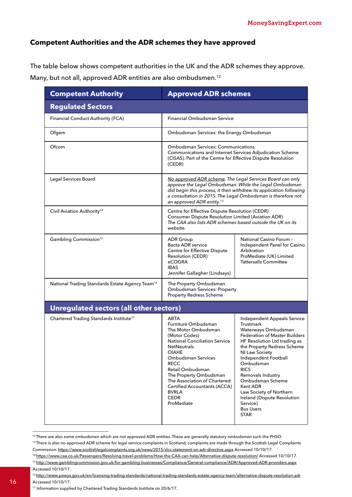#### **Competent Authorities and the ADR schemes they have approved**

The table below shows competent authorities in the UK and the ADR schemes they approve. Many, but not all, approved ADR entities are also ombudsmen.12

| <b>Competent Authority</b>                                  | <b>Approved ADR schemes</b>                                                                                                                                                                                                                                                                                                                                     |                                                                                                                                                                                                                                                                                                                                                                                                                   |  |
|-------------------------------------------------------------|-----------------------------------------------------------------------------------------------------------------------------------------------------------------------------------------------------------------------------------------------------------------------------------------------------------------------------------------------------------------|-------------------------------------------------------------------------------------------------------------------------------------------------------------------------------------------------------------------------------------------------------------------------------------------------------------------------------------------------------------------------------------------------------------------|--|
| <b>Regulated Sectors</b>                                    |                                                                                                                                                                                                                                                                                                                                                                 |                                                                                                                                                                                                                                                                                                                                                                                                                   |  |
| <b>Financial Conduct Authority (FCA)</b>                    | <b>Financial Ombudsman Service</b>                                                                                                                                                                                                                                                                                                                              |                                                                                                                                                                                                                                                                                                                                                                                                                   |  |
| Ofgem                                                       | Ombudsman Services: the Energy Ombudsman                                                                                                                                                                                                                                                                                                                        |                                                                                                                                                                                                                                                                                                                                                                                                                   |  |
| Ofcom                                                       | <b>Ombudsman Services: Communications</b><br>Communications and Internet Services Adjudication Scheme<br>(CISAS). Part of the Centre for Effective Dispute Resolution<br>(CEDR)                                                                                                                                                                                 |                                                                                                                                                                                                                                                                                                                                                                                                                   |  |
| Legal Services Board                                        | No approved ADR scheme. The Legal Services Board can only<br>approve the Legal Ombudsman. While the Legal Ombudsman<br>did begin this process, it then withdrew its application following<br>a consultation in 2015. The Legal Ombudsman is therefore not<br>an approved ADR entity. <sup>13</sup>                                                              |                                                                                                                                                                                                                                                                                                                                                                                                                   |  |
| Civil Aviation Authority <sup>14</sup>                      | Centre for Effective Dispute Resolution (CEDR)<br>Consumer Dispute Resolution Limited (Aviation ADR)<br>The CAA also lists ADR schemes based outside the UK on its<br>website.                                                                                                                                                                                  |                                                                                                                                                                                                                                                                                                                                                                                                                   |  |
| Gambling Commission <sup>15</sup>                           | <b>ADR</b> Group<br>Bacta ADR service<br>Centre for Effective Dispute<br><b>Resolution (CEDR)</b><br>eCOGRA<br><b>IBAS</b><br>Jennifer Gallagher (Lindsays)                                                                                                                                                                                                     | <b>National Casino Forum -</b><br>Independent Panel for Casino<br>Arbitration<br>ProMediate (UK) Limited<br><b>Tattersalls Committee</b>                                                                                                                                                                                                                                                                          |  |
| National Trading Standards Estate Agency Team <sup>16</sup> | The Property Ombudsman<br><b>Ombudsman Services: Property</b><br><b>Property Redress Scheme</b>                                                                                                                                                                                                                                                                 |                                                                                                                                                                                                                                                                                                                                                                                                                   |  |
| <b>Unregulated sectors (all other sectors)</b>              |                                                                                                                                                                                                                                                                                                                                                                 |                                                                                                                                                                                                                                                                                                                                                                                                                   |  |
| Chartered Trading Standards Institute <sup>17</sup>         | ABTA<br>Furniture Ombudsman<br>The Motor Ombudsman<br>(Motor Codes)<br><b>National Conciliation Service</b><br><b>NetNeutrals</b><br><b>OIAHE</b><br><b>Ombudsman Services</b><br><b>RECC</b><br>Retail Ombudsman<br>The Property Ombudsman<br>The Association of Chartered<br><b>Certified Accountants (ACCA)</b><br><b>BVRLA</b><br><b>CEDR</b><br>ProMediate | Independent Appeals Service<br>Trustmark<br>Waterways Ombudsman<br><b>Federation of Master Builders</b><br>HF Resolution Ltd trading as<br>the Property Redress Scheme<br><b>NI Law Society</b><br>Independent Football<br>Ombudsman<br><b>RICS</b><br>Removals Industry<br>Ombudsman Scheme<br>Kent ADR<br>Law Society of Northern<br>Ireland (Dispute Resolution<br>Service)<br><b>Bus Users</b><br><b>STAR</b> |  |

<sup>&</sup>lt;sup>12</sup> There are also some ombudsmen which are not approved ADR entities. These are generally statutory ombudsmen such the PHSO.

16

<sup>&</sup>lt;sup>13</sup>There is also no approved ADR scheme for legal service complaints in Scotland, complaints are made through the Scottish Legal Complaints Commission: <https://www.scottishlegalcomplaints.org.uk/news/2015/slcc-statement-on-adr-directive.aspx> Accessed 10/10/17.

<sup>14</sup> [https://www.caa.co.uk/Passengers/Resolving-travel-problems/How-the-CAA-can-help/Alternative-dispute-resolution/](https://www.caa.co.uk/Passengers/Resolving-travel-problems/How-the-CAA-can-help/Alternative-dispute-) Accessed 10/10/17. 15 [http://www.gamblingcommission.gov.uk/for-gambling-businesses/Compliance/General-compliance/ADR/Approved-ADR-providers.aspx](http://www.gamblingcommission.gov.uk/for-gambling-businesses/Compliance/General-compliance/ADR/Appro)

Accessed 10/10/17. 16 [http://www.powys.gov.uk/en/licensing-trading-standards/national-trading-standards-estate-agency-team/alternative-dispute-resolution-ad](http://www.powys.gov.uk/en/licensing-trading-standards/national-trading-standards-estate-agency-team)r

<sup>17</sup> Information supplied by Chartered Trading Standards Institute on 20/6/17.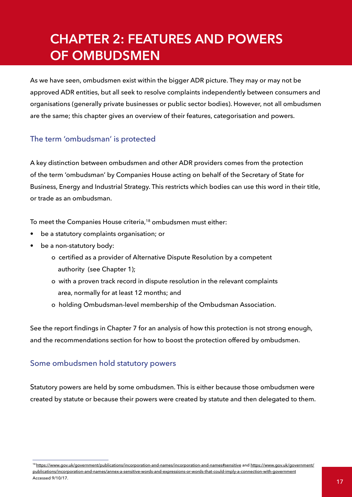# <span id="page-17-0"></span>**CHAPTER 2: FEATURES AND POWERS OF OMBUDSMEN**

As we have seen, ombudsmen exist within the bigger ADR picture. They may or may not be approved ADR entities, but all seek to resolve complaints independently between consumers and organisations (generally private businesses or public sector bodies). However, not all ombudsmen are the same; this chapter gives an overview of their features, categorisation and powers.

### The term 'ombudsman' is protected

A key distinction between ombudsmen and other ADR providers comes from the protection of the term 'ombudsman' by Companies House acting on behalf of the Secretary of State for Business, Energy and Industrial Strategy. This restricts which bodies can use this word in their title, or trade as an ombudsman.

To meet the Companies House criteria,<sup>18</sup> ombudsmen must either:

- be a statutory complaints organisation; or
- be a non-statutory body:
	- o certified as a provider of Alternative Dispute Resolution by a competent authority (see Chapter 1);
	- o with a proven track record in dispute resolution in the relevant complaints area, normally for at least 12 months; and
	- o holding Ombudsman-level membership of the Ombudsman Association.

See the report findings in Chapter 7 for an analysis of how this protection is not strong enough, and the recommendations section for how to boost the protection offered by ombudsmen.

### Some ombudsmen hold statutory powers

Statutory powers are held by some ombudsmen. This is either because those ombudsmen were created by statute or because their powers were created by statute and then delegated to them.

<sup>18</sup><https://www.gov.uk/government/publications/incorporation-and-names/incorporation-and-names#sensitive> and [https://www.gov.uk/government/](https://www.gov.uk/government/publications/incorporation-and-names/annex-a-sensitive-words-and-expre) [publications/incorporation-and-names/annex-a-sensitive-words-and-expressions-or-words-that-could-imply-a-connection-with-government](https://www.gov.uk/government/publications/incorporation-and-names/annex-a-sensitive-words-and-expre) Accessed 9/10/17.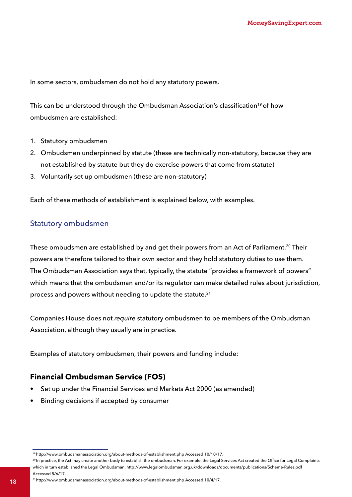In some sectors, ombudsmen do not hold any statutory powers.

This can be understood through the Ombudsman Association's classification<sup>19</sup> of how ombudsmen are established:

- 1. Statutory ombudsmen
- 2. Ombudsmen underpinned by statute (these are technically non-statutory, because they are not established by statute but they do exercise powers that come from statute)
- 3. Voluntarily set up ombudsmen (these are non-statutory)

Each of these methods of establishment is explained below, with examples.

#### Statutory ombudsmen

These ombudsmen are established by and get their powers from an Act of Parliament.<sup>20</sup> Their powers are therefore tailored to their own sector and they hold statutory duties to use them. The Ombudsman Association says that, typically, the statute "provides a framework of powers" which means that the ombudsman and/or its regulator can make detailed rules about jurisdiction, process and powers without needing to update the statute.<sup>21</sup>

Companies House does not *require* statutory ombudsmen to be members of the Ombudsman Association, although they usually are in practice.

Examples of statutory ombudsmen, their powers and funding include:

### **Financial Ombudsman Service (FOS)**

- Set up under the Financial Services and Markets Act 2000 (as amended)
- Binding decisions if accepted by consumer

<sup>19</sup><http://www.ombudsmanassociation.org/about-methods-of-establishment.php>Accessed 10/10/17.

<sup>&</sup>lt;sup>20</sup>In practice, the Act may create another body to establish the ombudsman. For example, the Legal Services Act created the Office for Legal Complaints which in turn established the Legal Ombudsman.<http://www.legalombudsman.org.uk/downloads/documents/publications/Scheme-Rules.pdf> Accessed 5/6/17.

<sup>18&</sup>lt;sup>21</sup><http://www.ombudsmanassociation.org/about-methods-of-establishment.php>Accessed 10/4/17.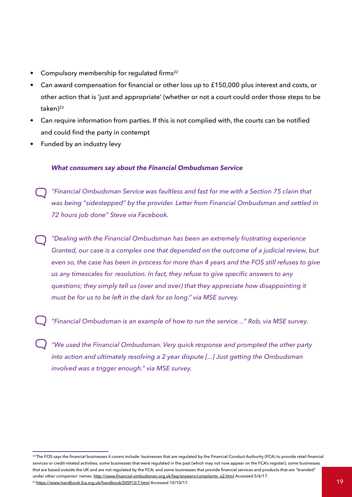- Compulsory membership for regulated firms<sup>22</sup>
- Can award compensation for financial or other loss up to £150,000 plus interest and costs, or other action that is 'just and appropriate' (whether or not a court could order those steps to be  $taken$ <sup>23</sup>
- Can require information from parties. If this is not complied with, the courts can be notified and could find the party in contempt
- Funded by an industry levy

#### *What consumers say about the Financial Ombudsman Service*

- *"Financial Ombudsman Service was faultless and fast for me with a Section 75 claim that was being "sidestepped" by the provider. Letter from Financial Ombudsman and settled in 72 hours job done" Steve via Facebook.*
- *"Dealing with the Financial Ombudsman has been an extremely frustrating experience Granted, our case is a complex one that depended on the outcome of a judicial review, but even so, the case has been in process for more than 4 years and the FOS still refuses to give us any timescales for resolution. In fact, they refuse to give specific answers to any questions; they simply tell us (over and over) that they appreciate how disappointing it must be for us to be left in the dark for so long." via MSE survey.*
	- *"Financial Ombudsman is an example of how to run the service…" Rob, via MSE survey.*
- *"We used the Financial Ombudsman. Very quick response and prompted the other party into action and ultimately resolving a 2 year dispute [...] Just getting the Ombudsman involved was a trigger enough." via MSE survey.*

<sup>&</sup>lt;sup>22</sup>The FOS says the financial businesses it covers include: businesses that are regulated by the Financial Conduct Authority (FCA) to provide retail financial services or credit-related activities; some businesses that were regulated in the past (which may not now appear on the FCA's register); some businesses that are based outside the UK and are not regulated by the FCA; and some businesses that provide financial services and products that are "branded" under other companies' names. [http://www.financial-ombudsman.org.uk/faq/answers/complaints\\_a2.html](http://www.financial-ombudsman.org.uk/faq/answers/complaints_a2.html) Accessed 5/6/17.  $^{23}$ <https://www.handbook.fca.org.uk/handbook/DISP/3/7.html>Accessed 10/10/17.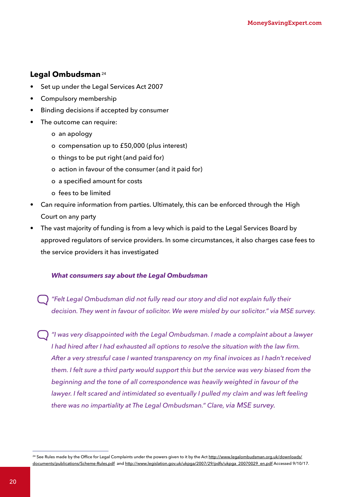#### Legal Ombudsman<sup>24</sup>

- Set up under the Legal Services Act 2007
- Compulsory membership
- Binding decisions if accepted by consumer
- The outcome can require:
	- o an apology
	- o compensation up to £50,000 (plus interest)
	- o things to be put right (and paid for)
	- o action in favour of the consumer (and it paid for)
	- o a specified amount for costs
	- o fees to be limited
- Can require information from parties. Ultimately, this can be enforced through the High Court on any party
- The vast majority of funding is from a levy which is paid to the Legal Services Board by approved regulators of service providers. In some circumstances, it also charges case fees to the service providers it has investigated

#### *What consumers say about the Legal Ombudsman*

*"Felt Legal Ombudsman did not fully read our story and did not explain fully their decision. They went in favour of solicitor. We were misled by our solicitor." via MSE survey.*

*"I was very disappointed with the Legal Ombudsman. I made a complaint about a lawyer I had hired after I had exhausted all options to resolve the situation with the law firm. After a very stressful case I wanted transparency on my final invoices as I hadn't received them. I felt sure a third party would support this but the service was very biased from the beginning and the tone of all correspondence was heavily weighted in favour of the*  lawyer. I felt scared and intimidated so eventually I pulled my claim and was left feeling *there was no impartiality at The Legal Ombudsman." Clare, via MSE survey.*

<sup>&</sup>lt;sup>24</sup> See Rules made by the Office for Legal Complaints under the powers given to it by the Act [http://www.legalombudsman.org.uk/downloads/](http://www.legalombudsman.org.uk/downloads/ documents/publications/Scheme-Rules.pdf) [documents/publications/Scheme-Rules.pdf](http://www.legalombudsman.org.uk/downloads/ documents/publications/Scheme-Rules.pdf) and [http://www.legislation.gov.uk/ukpga/2007/29/pdfs/ukpga\\_20070029\\_en.pdf](http://www.legislation.gov.uk/ukpga/2007/29/pdfs/ukpga_20070029_en.pdf) Accessed 9/10/17.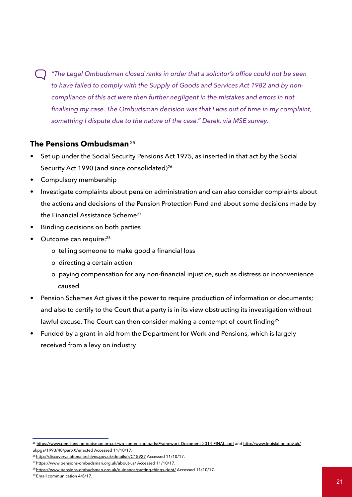*"The Legal Ombudsman closed ranks in order that a solicitor's office could not be seen to have failed to comply with the Supply of Goods and Services Act 1982 and by noncompliance of this act were then further negligent in the mistakes and errors in not finalising my case. The Ombudsman decision was that I was out of time in my complaint, something I dispute due to the nature of the case." Derek, via MSE survey.*

#### **The Pensions Ombudsman**<sup>25</sup>

- Set up under the Social Security Pensions Act 1975, as inserted in that act by the Social Security Act 1990 (and since consolidated)<sup>26</sup>
- Compulsory membership
- Investigate complaints about pension administration and can also consider complaints about the actions and decisions of the Pension Protection Fund and about some decisions made by the Financial Assistance Scheme<sup>27</sup>
- Binding decisions on both parties
- Outcome can require:<sup>28</sup>
	- o telling someone to make good a financial loss
	- o directing a certain action
	- o paying compensation for any non-financial injustice, such as distress or inconvenience caused
- Pension Schemes Act gives it the power to require production of information or documents; and also to certify to the Court that a party is in its view obstructing its investigation without lawful excuse. The Court can then consider making a contempt of court finding<sup>29</sup>
- Funded by a grant-in-aid from the Department for Work and Pensions, which is largely received from a levy on industry

<sup>25</sup> <https://www.pensions-ombudsman.org.uk/wp-content/uploads/Framework-Document-2014-FINAL-.pdf> and [http://www.legislation.gov.uk/](http://www.legislation.gov.uk/ukpga/1993/48/part/X/enacted) [ukpga/1993/48/part/X/enacted](http://www.legislation.gov.uk/ukpga/1993/48/part/X/enacted) Accessed 11/10/17.

<sup>&</sup>lt;sup>26</sup><http://discovery.nationalarchives.gov.uk/details/r/C15927>Accessed 11/10/17.

<sup>&</sup>lt;sup>27</sup><https://www.pensions-ombudsman.org.uk/about-us/> Accessed 11/10/17.

<sup>&</sup>lt;sup>28</sup><https://www.pensions-ombudsman.org.uk/guidance/putting-things-right/>Accessed 11/10/17.

<sup>29</sup> Email communication 4/8/17.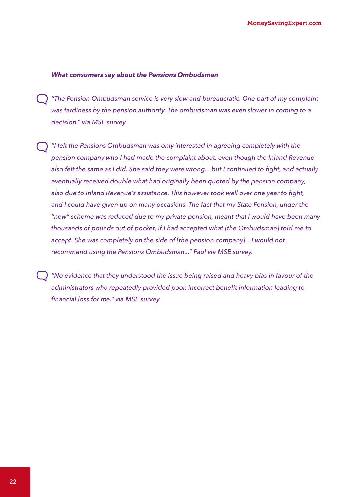#### *What consumers say about the Pensions Ombudsman*

*"The Pension Ombudsman service is very slow and bureaucratic. One part of my complaint was tardiness by the pension authority. The ombudsman was even slower in coming to a decision." via MSE survey.*

*"I felt the Pensions Ombudsman was only interested in agreeing completely with the pension company who I had made the complaint about, even though the Inland Revenue*  also felt the same as I did. She said they were wrong... but I continued to fight, and actually *eventually received double what had originally been quoted by the pension company, also due to Inland Revenue's assistance. This however took well over one year to fight, and I could have given up on many occasions. The fact that my State Pension, under the "new" scheme was reduced due to my private pension, meant that I would have been many thousands of pounds out of pocket, if I had accepted what [the Ombudsman] told me to*  accept. She was completely on the side of [the pension company]... I would not *recommend using the Pensions Ombudsman..." Paul via MSE survey.*

*"No evidence that they understood the issue being raised and heavy bias in favour of the administrators who repeatedly provided poor, incorrect benefit information leading to financial loss for me." via MSE survey.*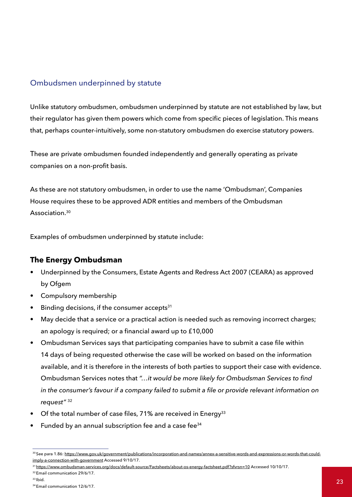#### Ombudsmen underpinned by statute

Unlike statutory ombudsmen, ombudsmen underpinned by statute are not established by law, but their regulator has given them powers which come from specific pieces of legislation. This means that, perhaps counter-intuitively, some non-statutory ombudsmen do exercise statutory powers.

These are private ombudsmen founded independently and generally operating as private companies on a non-profit basis.

As these are not statutory ombudsmen, in order to use the name 'Ombudsman', Companies House requires these to be approved ADR entities and members of the Ombudsman Association.<sup>30</sup>

Examples of ombudsmen underpinned by statute include:

#### **The Energy Ombudsman**

- Underpinned by the Consumers, Estate Agents and Redress Act 2007 (CEARA) as approved by Ofgem
- Compulsory membership
- Binding decisions, if the consumer accepts $31$
- May decide that a service or a practical action is needed such as removing incorrect charges; an apology is required; or a financial award up to £10,000
- Ombudsman Services says that participating companies have to submit a case file within 14 days of being requested otherwise the case will be worked on based on the information available, and it is therefore in the interests of both parties to support their case with evidence. Ombudsman Services notes that *"…it would be more likely for Ombudsman Services to find in the consumer's favour if a company failed to submit a file or provide relevant information on request"* <sup>32</sup>
- Of the total number of case files, 71% are received in Energy<sup>33</sup>
- Funded by an annual subscription fee and a case fee<sup>34</sup>

<sup>&</sup>lt;sup>30</sup> See para 1.86: [https://www.gov.uk/government/publications/incorporation-and-names/annex-a-sensitive-words-and-expressions-or-words-that-could](https://www.gov.uk/government/publications/incorporation-and-names/annex-a-sensitive-words-and-expre)[imply-a-connection-with-government](https://www.gov.uk/government/publications/incorporation-and-names/annex-a-sensitive-words-and-expre) Accessed 9/10/17.

<sup>&</sup>lt;sup>31</sup> [https://www.ombudsman-services.org/docs/default-source/Factsheets/about-os-energy-factsheet.pdf?sfvrsn=10](https://www.ombudsman-services.org/docs/default-source/Factsheets/about-os-energy-factsheet.pdf?sfvr) Accessed 10/10/17.

<sup>&</sup>lt;sup>32</sup> Email communication 29/6/17.

 $33$  Ibid.

<sup>34</sup> Email communication 12/6/17.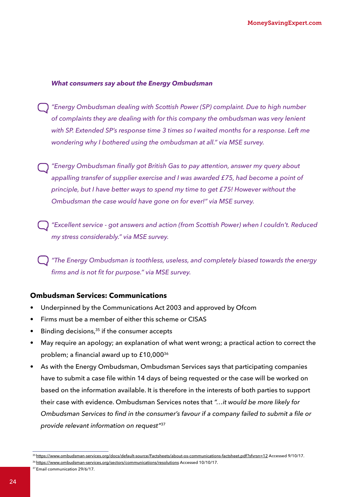#### *What consumers say about the Energy Ombudsman*

- *"Energy Ombudsman dealing with Scottish Power (SP) complaint. Due to high number of complaints they are dealing with for this company the ombudsman was very lenient with SP. Extended SP's response time 3 times so I waited months for a response. Left me wondering why I bothered using the ombudsman at all." via MSE survey.*
- *"Energy Ombudsman finally got British Gas to pay attention, answer my query about appalling transfer of supplier exercise and I was awarded £75, had become a point of principle, but I have better ways to spend my time to get £75! However without the Ombudsman the case would have gone on for ever!" via MSE survey.*
- *"Excellent service - got answers and action (from Scottish Power) when I couldn't. Reduced my stress considerably." via MSE survey.*

*"The Energy Ombudsman is toothless, useless, and completely biased towards the energy firms and is not fit for purpose." via MSE survey.*

#### **Ombudsman Services: Communications**

- Underpinned by the Communications Act 2003 and approved by Ofcom
- Firms must be a member of either this scheme or CISAS
- Binding decisions, $35$  if the consumer accepts
- May require an apology; an explanation of what went wrong; a practical action to correct the problem; a financial award up to £10,000<sup>36</sup>
- As with the Energy Ombudsman, Ombudsman Services says that participating companies have to submit a case file within 14 days of being requested or the case will be worked on based on the information available. It is therefore in the interests of both parties to support their case with evidence. Ombudsman Services notes that *"…it would be more likely for Ombudsman Services to find in the consumer's favour if a company failed to submit a file or provide relevant information on request"*<sup>37</sup>

<sup>35</sup> [https://www.ombudsman-services.org/docs/default-source/Factsheets/about-os-communications-factsheet.pdf?sfvrsn=12](https://www.ombudsman-services.org/docs/default-source/Factsheets/about-os-communications-factsheet.) Accessed 9/10/17.

<sup>36</sup><https://www.ombudsman-services.org/sectors/communications/resolutions>Accessed 10/10/17.

<sup>37</sup> Email communication 29/6/17.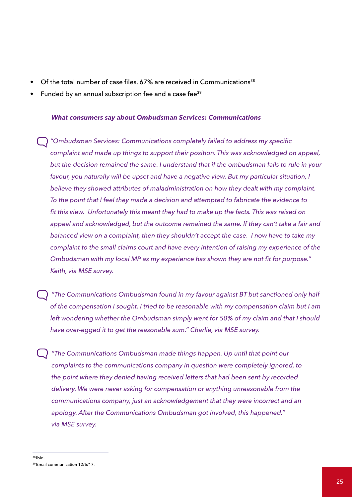- Of the total number of case files,  $67\%$  are received in Communications<sup>38</sup>
- Funded by an annual subscription fee and a case fee<sup>39</sup>

#### *What consumers say about Ombudsman Services: Communications*

*"Ombudsman Services: Communications completely failed to address my specific complaint and made up things to support their position. This was acknowledged on appeal, but the decision remained the same. I understand that if the ombudsman fails to rule in your*  favour, you naturally will be upset and have a negative view. But my particular situation, I *believe they showed attributes of maladministration on how they dealt with my complaint. To the point that I feel they made a decision and attempted to fabricate the evidence to fit this view. Unfortunately this meant they had to make up the facts. This was raised on appeal and acknowledged, but the outcome remained the same. If they can't take a fair and balanced view on a complaint, then they shouldn't accept the case. I now have to take my complaint to the small claims court and have every intention of raising my experience of the Ombudsman with my local MP as my experience has shown they are not fit for purpose." Keith, via MSE survey.* 

- *"The Communications Ombudsman found in my favour against BT but sanctioned only half of the compensation I sought. I tried to be reasonable with my compensation claim but I am left wondering whether the Ombudsman simply went for 50% of my claim and that I should have over-egged it to get the reasonable sum." Charlie, via MSE survey.*
- *"The Communications Ombudsman made things happen. Up until that point our complaints to the communications company in question were completely ignored, to the point where they denied having received letters that had been sent by recorded delivery. We were never asking for compensation or anything unreasonable from the communications company, just an acknowledgement that they were incorrect and an apology. After the Communications Ombudsman got involved, this happened." via MSE survey.*

<sup>38</sup> Ibid. 39 Email communication 12/6/17.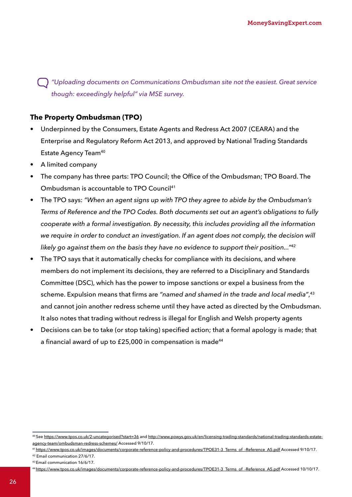*"Uploading documents on Communications Ombudsman site not the easiest. Great service though: exceedingly helpful" via MSE survey.*

#### **The Property Ombudsman (TPO)**

- Underpinned by the Consumers, Estate Agents and Redress Act 2007 (CEARA) and the Enterprise and Regulatory Reform Act 2013, and approved by National Trading Standards Estate Agency Team<sup>40</sup>
- A limited company
- The company has three parts: TPO Council; the Office of the Ombudsman; TPO Board. The Ombudsman is accountable to TPO Council<sup>41</sup>
- The TPO says: *"When an agent signs up with TPO they agree to abide by the Ombudsman's Terms of Reference and the TPO Codes. Both documents set out an agent's obligations to fully cooperate with a formal investigation. By necessity, this includes providing all the information we require in order to conduct an investigation. If an agent does not comply, the decision will likely go against them on the basis they have no evidence to support their position..."*<sup>42</sup>
- The TPO says that it automatically checks for compliance with its decisions, and where members do not implement its decisions, they are referred to a Disciplinary and Standards Committee (DSC), which has the power to impose sanctions or expel a business from the scheme. Expulsion means that firms are *"named and shamed in the trade and local media"*, 43 and cannot join another redress scheme until they have acted as directed by the Ombudsman. It also notes that trading without redress is illegal for English and Welsh property agents
- Decisions can be to take (or stop taking) specified action; that a formal apology is made; that a financial award of up to  $£25,000$  in compensation is made<sup>44</sup>

<sup>40</sup> See <https://www.tpos.co.uk/2-uncategorised?start=36>and [http://www.powys.gov.uk/en/licensing-trading-standards/national-trading-standards-estate](http://www.powys.gov.uk/en/licensing-trading-standards/national-trading-standards-estate-agency-team)[agency-team/ombudsman-redress-schemes/](http://www.powys.gov.uk/en/licensing-trading-standards/national-trading-standards-estate-agency-team) Accessed 9/10/17.

<sup>41</sup> https://www.tpos.co.uk/images/documents/corporate-reference-policy-and-procedures/TPOE31-3 Terms\_of\_-Reference\_A5.pdf Accessed 9/10/17.

[<sup>42</sup> Email communication 27/6/17.](https://www.tpos.co.uk/images/documents/corporate-reference-policy-and-procedures/TPOE31-3_Terms_of_)

<sup>43</sup> Email communication 16/6/17.

<sup>44</sup> [https://www.tpos.co.uk/images/documents/corporate-reference-policy-and-procedures/TPOE31-3\\_Terms\\_of\\_-Reference\\_A5.pdf](https://www.tpos.co.uk/images/documents/corporate-reference-policy-and-procedures/TPOE31-3_Terms_of_) Accessed 10/10/17.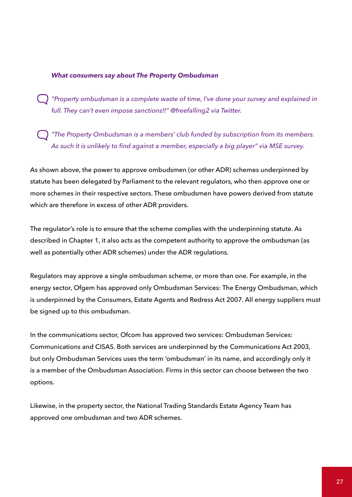#### *What consumers say about The Property Ombudsman*

 *"Property ombudsman is a complete waste of time, I've done your survey and explained in full. They can't even impose sanctions!!" @freefalling2 via Twitter.*

 *"The Property Ombudsman is a members' club funded by subscription from its members. As such it is unlikely to find against a member, especially a big player" via MSE survey.*

As shown above, the power to approve ombudsmen (or other ADR) schemes underpinned by statute has been delegated by Parliament to the relevant regulators, who then approve one or more schemes in their respective sectors. These ombudsmen have powers derived from statute which are therefore in excess of other ADR providers.

The regulator's role is to ensure that the scheme complies with the underpinning statute. As described in Chapter 1, it also acts as the competent authority to approve the ombudsman (as well as potentially other ADR schemes) under the ADR regulations.

Regulators may approve a single ombudsman scheme, or more than one. For example, in the energy sector, Ofgem has approved only Ombudsman Services: The Energy Ombudsman, which is underpinned by the Consumers, Estate Agents and Redress Act 2007. All energy suppliers must be signed up to this ombudsman.

In the communications sector, Ofcom has approved two services: Ombudsman Services: Communications and CISAS. Both services are underpinned by the Communications Act 2003, but only Ombudsman Services uses the term 'ombudsman' in its name, and accordingly only it is a member of the Ombudsman Association. Firms in this sector can choose between the two options.

Likewise, in the property sector, the National Trading Standards Estate Agency Team has approved one ombudsman and two ADR schemes.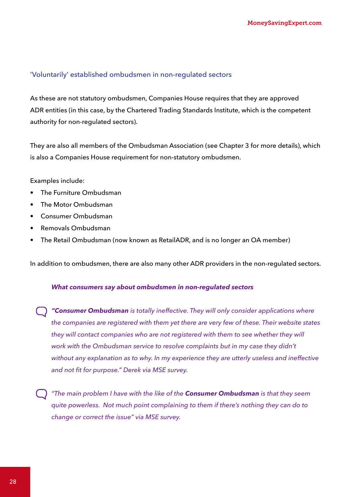#### 'Voluntarily' established ombudsmen in non-regulated sectors

As these are not statutory ombudsmen, Companies House requires that they are approved ADR entities (in this case, by the Chartered Trading Standards Institute, which is the competent authority for non-regulated sectors).

They are also all members of the Ombudsman Association (see Chapter 3 for more details), which is also a Companies House requirement for non-statutory ombudsmen.

#### Examples include:

- The Furniture Ombudsman
- The Motor Ombudsman
- Consumer Ombudsman
- Removals Ombudsman
- The Retail Ombudsman (now known as RetailADR, and is no longer an OA member)

In addition to ombudsmen, there are also many other ADR providers in the non-regulated sectors.

#### *What consumers say about ombudsmen in non-regulated sectors*

*"Consumer Ombudsman is totally ineffective. They will only consider applications where the companies are registered with them yet there are very few of these. Their website states they will contact companies who are not registered with them to see whether they will work with the Ombudsman service to resolve complaints but in my case they didn't without any explanation as to why. In my experience they are utterly useless and ineffective and not fit for purpose." Derek via MSE survey.*

*"The main problem I have with the like of the Consumer Ombudsman is that they seem quite powerless. Not much point complaining to them if there's nothing they can do to change or correct the issue" via MSE survey.*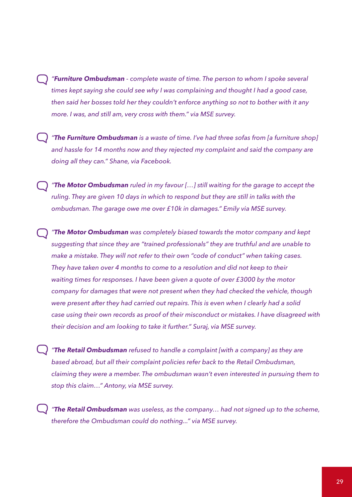*"Furniture Ombudsman - complete waste of time. The person to whom I spoke several times kept saying she could see why I was complaining and thought I had a good case, then said her bosses told her they couldn't enforce anything so not to bother with it any more. I was, and still am, very cross with them." via MSE survey.* 

*"The Furniture Ombudsman is a waste of time. I've had three sofas from [a furniture shop] and hassle for 14 months now and they rejected my complaint and said the company are doing all they can." Shane, via Facebook.*

*"The Motor Ombudsman ruled in my favour […] still waiting for the garage to accept the ruling. They are given 10 days in which to respond but they are still in talks with the ombudsman. The garage owe me over £10k in damages." Emily via MSE survey.*

*"The Motor Ombudsman was completely biased towards the motor company and kept suggesting that since they are "trained professionals" they are truthful and are unable to make a mistake. They will not refer to their own "code of conduct" when taking cases. They have taken over 4 months to come to a resolution and did not keep to their waiting times for responses. I have been given a quote of over £3000 by the motor company for damages that were not present when they had checked the vehicle, though were present after they had carried out repairs. This is even when I clearly had a solid case using their own records as proof of their misconduct or mistakes. I have disagreed with their decision and am looking to take it further." Suraj, via MSE survey.*

*"The Retail Ombudsman refused to handle a complaint [with a company] as they are based abroad, but all their complaint policies refer back to the Retail Ombudsman, claiming they were a member. The ombudsman wasn't even interested in pursuing them to stop this claim…" Antony, via MSE survey.*

*"The Retail Ombudsman was useless, as the company… had not signed up to the scheme, therefore the Ombudsman could do nothing..." via MSE survey.*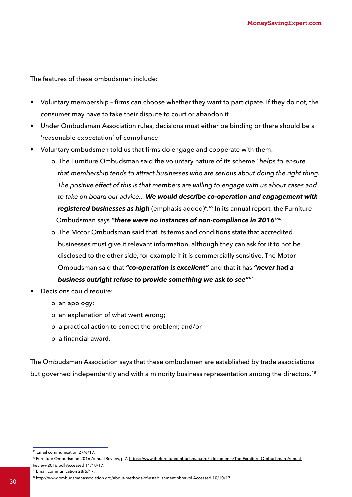The features of these ombudsmen include:

- Voluntary membership firms can choose whether they want to participate. If they do not, the consumer may have to take their dispute to court or abandon it
- Under Ombudsman Association rules, decisions must either be binding or there should be a 'reasonable expectation' of compliance
- Voluntary ombudsmen told us that firms do engage and cooperate with them:
	- o The Furniture Ombudsman said the voluntary nature of its scheme *"helps to ensure that membership tends to attract businesses who are serious about doing the right thing. The positive effect of this is that members are willing to engage with us about cases and to take on board our advice... We would describe co-operation and engagement with registered businesses as high* (emphasis added)".45 In its annual report, the Furniture Ombudsman says *"there were no instances of non-compliance in 2016"*<sup>46</sup>
	- o The Motor Ombudsman said that its terms and conditions state that accredited businesses must give it relevant information, although they can ask for it to not be disclosed to the other side, for example if it is commercially sensitive. The Motor Ombudsman said that *"co-operation is excellent"* and that it has *"never had a business outright refuse to provide something we ask to see"*<sup>47</sup>
- Decisions could require:
	- o an apology;
	- o an explanation of what went wrong;
	- o a practical action to correct the problem; and/or
	- o a financial award.

The Ombudsman Association says that these ombudsmen are established by trade associations but governed independently and with a minority business representation among the directors.<sup>48</sup>

47 Email communication 28/6/17.

<sup>45</sup> Email communication 27/6/17.

<sup>46</sup> Furniture Ombudsman 2016 Annual Review, p.7. [https://www.thefurnitureombudsman.org/\\_documents/The-Furniture-Ombudsman-Annual-](https://www.thefurnitureombudsman.org/_documents/The-Furniture-Ombudsman-Annual-Review-2016.pdf)[Review-2016.pdf](https://www.thefurnitureombudsman.org/_documents/The-Furniture-Ombudsman-Annual-Review-2016.pdf) Accessed 11/10/17.

<sup>48</sup><http://www.ombudsmanassociation.org/about-methods-of-establishment.php#vol> Accessed 10/10/17. <sup>30</sup>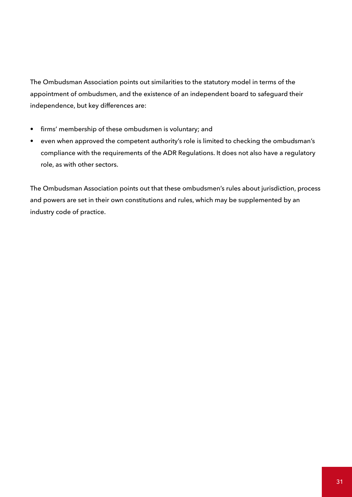The Ombudsman Association points out similarities to the statutory model in terms of the appointment of ombudsmen, and the existence of an independent board to safeguard their independence, but key differences are:

- firms' membership of these ombudsmen is voluntary; and
- even when approved the competent authority's role is limited to checking the ombudsman's compliance with the requirements of the ADR Regulations. It does not also have a regulatory role, as with other sectors.

The Ombudsman Association points out that these ombudsmen's rules about jurisdiction, process and powers are set in their own constitutions and rules, which may be supplemented by an industry code of practice.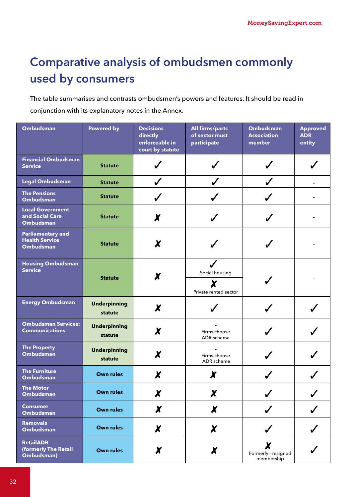# **Comparative analysis of ombudsmen commonly used by consumers**

The table summarises and contrasts ombudsmen's powers and features. It should be read in conjunction with its explanatory notes in the Annex.

| Ombudsman                                                             | <b>Powered by</b>              | <b>Decisions</b><br>directly<br>enforceable in<br>court by statute | <b>All firms/parts</b><br>of sector must<br>participate | <b>Ombudsman</b><br><b>Association</b><br>member         | <b>Approved</b><br><b>ADR</b><br>entity |
|-----------------------------------------------------------------------|--------------------------------|--------------------------------------------------------------------|---------------------------------------------------------|----------------------------------------------------------|-----------------------------------------|
| <b>Financial Ombudsman</b><br><b>Service</b>                          | <b>Statute</b>                 |                                                                    |                                                         |                                                          |                                         |
| <b>Legal Ombudsman</b>                                                | <b>Statute</b>                 |                                                                    |                                                         |                                                          |                                         |
| <b>The Pensions</b><br><b>Ombudsman</b>                               | <b>Statute</b>                 |                                                                    |                                                         |                                                          |                                         |
| <b>Local Government</b><br>and Social Care<br><b>Ombudsman</b>        | <b>Statute</b>                 | X                                                                  |                                                         |                                                          |                                         |
| <b>Parliamentary and</b><br><b>Health Service</b><br><b>Ombudsman</b> | <b>Statute</b>                 | X                                                                  |                                                         |                                                          |                                         |
| <b>Housing Ombudsman</b><br><b>Service</b>                            | <b>Statute</b>                 | X                                                                  | Social housing<br>X<br>Private rented sector            |                                                          |                                         |
| <b>Energy Ombudsman</b>                                               | <b>Underpinning</b><br>statute | X                                                                  |                                                         |                                                          |                                         |
| <b>Ombudsman Services:</b><br><b>Communications</b>                   | <b>Underpinning</b><br>statute | X                                                                  | Firms choose<br>ADR scheme                              |                                                          |                                         |
| <b>The Property</b><br><b>Ombudsman</b>                               | <b>Underpinning</b><br>statute | X                                                                  | Firms choose<br>ADR scheme                              |                                                          |                                         |
| <b>The Furniture</b><br><b>Ombudsman</b>                              | <b>Own rules</b>               | X                                                                  | X                                                       |                                                          |                                         |
| <b>The Motor</b><br>Ombudsman                                         | <b>Own rules</b>               | $\boldsymbol{\chi}$                                                | X                                                       |                                                          |                                         |
| <b>Consumer</b><br>Ombudsman                                          | <b>Own rules</b>               | $\boldsymbol{X}$                                                   | $\boldsymbol{x}$                                        |                                                          |                                         |
| <b>Removals</b><br><b>Ombudsman</b>                                   | <b>Own rules</b>               | $\boldsymbol{\chi}$                                                | $\boldsymbol{\chi}$                                     |                                                          |                                         |
| <b>RetailADR</b><br>(formerly The Retail<br>Ombudsman)                | <b>Own rules</b>               | $\boldsymbol{x}$                                                   | X                                                       | $\boldsymbol{\chi}$<br>Formerly - resigned<br>membership |                                         |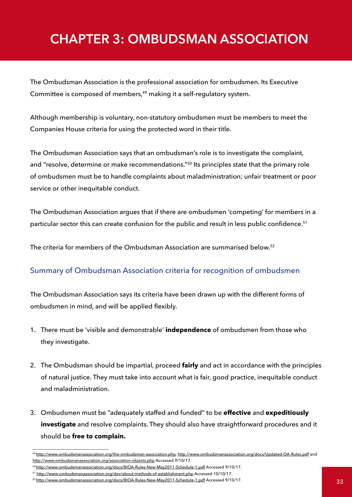# <span id="page-33-0"></span>**CHAPTER 3: OMBUDSMAN ASSOCIATION**

The Ombudsman Association is the professional association for ombudsmen. Its Executive Committee is composed of members,<sup>49</sup> making it a self-regulatory system.

Although membership is voluntary, non-statutory ombudsmen must be members to meet the Companies House criteria for using the protected word in their title.

The Ombudsman Association says that an ombudsman's role is to investigate the complaint, and "resolve, determine or make recommendations."50 Its principles state that the primary role of ombudsmen must be to handle complaints about maladministration; unfair treatment or poor service or other inequitable conduct.

The Ombudsman Association argues that if there are ombudsmen 'competing' for members in a particular sector this can create confusion for the public and result in less public confidence.<sup>51</sup>

The criteria for members of the Ombudsman Association are summarised below.52

### Summary of Ombudsman Association criteria for recognition of ombudsmen

The Ombudsman Association says its criteria have been drawn up with the different forms of ombudsmen in mind, and will be applied flexibly.

- 1. There must be 'visible and demonstrable' **independence** of ombudsmen from those who they investigate.
- 2. The Ombudsman should be impartial, proceed **fairly** and act in accordance with the principles of natural justice. They must take into account what is fair, good practice, inequitable conduct and maladministration.
- 3. Ombudsmen must be "adequately staffed and funded" to be **effective** and **expeditiously investigate** and resolve complaints. They should also have straightforward procedures and it should be **free to complain.**

<sup>49</sup><http://www.ombudsmanassociation.org/the-ombudsman-association.php>, <http://www.ombudsmanassociation.org/docs/Updated-OA-Rules.pdf>and <http://www.ombudsmanassociation.org/association-objects.php>Accessed 9/10/17.

<sup>&</sup>lt;sup>50</sup><http://www.ombudsmanassociation.org/docs/BIOA-Rules-New-May2011-Schedule-1.pdf> Accessed 9/10/17.

<sup>51</sup> <http://www.ombudsmanassociation.org/dev/about-methods-of-establishment.php> Accessed 10/10/17.

<sup>52</sup> <http://www.ombudsmanassociation.org/docs/BIOA-Rules-New-May2011-Schedule-1.pdf> Accessed 9/10/17.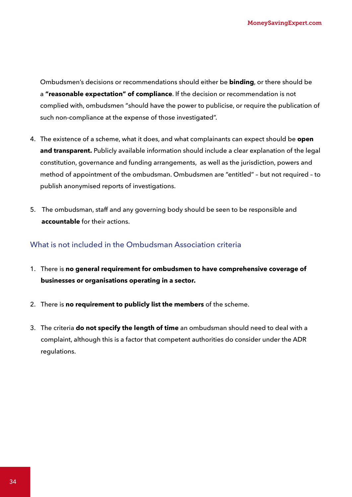Ombudsmen's decisions or recommendations should either be **binding**, or there should be a **"reasonable expectation" of compliance**. If the decision or recommendation is not complied with, ombudsmen "should have the power to publicise, or require the publication of such non-compliance at the expense of those investigated".

- 4. The existence of a scheme, what it does, and what complainants can expect should be **open and transparent.** Publicly available information should include a clear explanation of the legal constitution, governance and funding arrangements, as well as the jurisdiction, powers and method of appointment of the ombudsman. Ombudsmen are "entitled" – but not required – to publish anonymised reports of investigations.
- 5. The ombudsman, staff and any governing body should be seen to be responsible and **accountable** for their actions.

#### What is not included in the Ombudsman Association criteria

- 1. There is **no general requirement for ombudsmen to have comprehensive coverage of businesses or organisations operating in a sector.**
- 2. There is **no requirement to publicly list the members** of the scheme.
- 3. The criteria **do not specify the length of time** an ombudsman should need to deal with a complaint, although this is a factor that competent authorities do consider under the ADR regulations.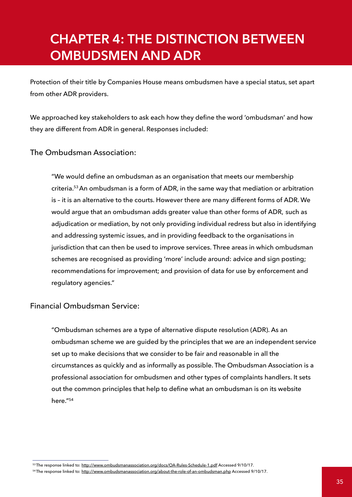# <span id="page-35-0"></span>**CHAPTER 4: THE DISTINCTION BETWEEN OMBUDSMEN AND ADR**

Protection of their title by Companies House means ombudsmen have a special status, set apart from other ADR providers.

We approached key stakeholders to ask each how they define the word 'ombudsman' and how they are different from ADR in general. Responses included:

#### The Ombudsman Association:

"We would define an ombudsman as an organisation that meets our membership criteria.53 An ombudsman is a form of ADR, in the same way that mediation or arbitration is – it is an alternative to the courts. However there are many different forms of ADR. We would argue that an ombudsman adds greater value than other forms of ADR, such as adjudication or mediation, by not only providing individual redress but also in identifying and addressing systemic issues, and in providing feedback to the organisations in jurisdiction that can then be used to improve services. Three areas in which ombudsman schemes are recognised as providing 'more' include around: advice and sign posting; recommendations for improvement; and provision of data for use by enforcement and regulatory agencies."

#### Financial Ombudsman Service:

"Ombudsman schemes are a type of alternative dispute resolution (ADR). As an ombudsman scheme we are guided by the principles that we are an independent service set up to make decisions that we consider to be fair and reasonable in all the circumstances as quickly and as informally as possible. The Ombudsman Association is a professional association for ombudsmen and other types of complaints handlers. It sets out the common principles that help to define what an ombudsman is on its website here."54

<sup>53</sup> The response linked to: <http://www.ombudsmanassociation.org/docs/OA-Rules-Schedule-1.pdf>Accessed 9/10/17.

<sup>54</sup> The response linked to: <http://www.ombudsmanassociation.org/about-the-role-of-an-ombudsman.php>Accessed 9/10/17.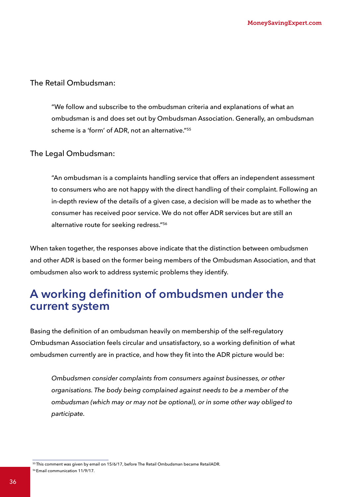### The Retail Ombudsman:

"We follow and subscribe to the ombudsman criteria and explanations of what an ombudsman is and does set out by Ombudsman Association. Generally, an ombudsman scheme is a 'form' of ADR, not an alternative."55

#### The Legal Ombudsman:

"An ombudsman is a complaints handling service that offers an independent assessment to consumers who are not happy with the direct handling of their complaint. Following an in-depth review of the details of a given case, a decision will be made as to whether the consumer has received poor service. We do not offer ADR services but are still an alternative route for seeking redress."56

When taken together, the responses above indicate that the distinction between ombudsmen and other ADR is based on the former being members of the Ombudsman Association, and that ombudsmen also work to address systemic problems they identify.

## **A working definition of ombudsmen under the current system**

Basing the definition of an ombudsman heavily on membership of the self-regulatory Ombudsman Association feels circular and unsatisfactory, so a working definition of what ombudsmen currently are in practice, and how they fit into the ADR picture would be:

*Ombudsmen consider complaints from consumers against businesses, or other organisations. The body being complained against needs to be a member of the ombudsman (which may or may not be optional), or in some other way obliged to participate.*

<sup>55</sup> This comment was given by email on 15/6/17, before The Retail Ombudsman became RetailADR. 56 Email communication 11/9/17.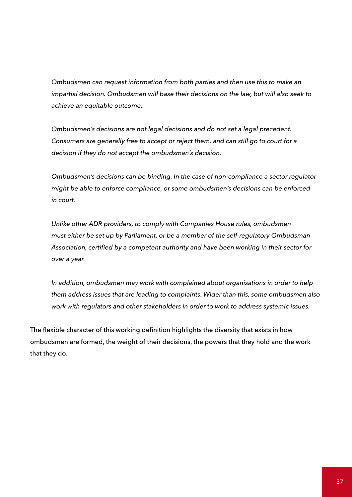*Ombudsmen can request information from both parties and then use this to make an impartial decision. Ombudsmen will base their decisions on the law, but will also seek to achieve an equitable outcome.* 

 *Ombudsmen's decisions are not legal decisions and do not set a legal precedent. Consumers are generally free to accept or reject them, and can still go to court for a decision if they do not accept the ombudsman's decision.*

 *Ombudsmen's decisions can be binding. In the case of non-compliance a sector regulator might be able to enforce compliance, or some ombudsmen's decisions can be enforced in court.*

*Unlike other ADR providers, to comply with Companies House rules, ombudsmen must either be set up by Parliament, or be a member of the self-regulatory Ombudsman Association, certified by a competent authority and have been working in their sector for over a year.*

*In addition, ombudsmen may work with complained about organisations in order to help them address issues that are leading to complaints. Wider than this, some ombudsmen also work with regulators and other stakeholders in order to work to address systemic issues.*

The flexible character of this working definition highlights the diversity that exists in how ombudsmen are formed, the weight of their decisions, the powers that they hold and the work that they do.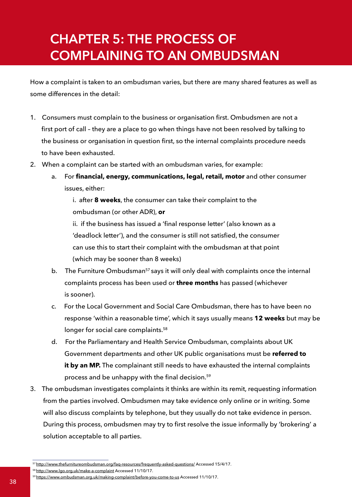# **CHAPTER 5: THE PROCESS OF COMPLAINING TO AN OMBUDSMAN**

How a complaint is taken to an ombudsman varies, but there are many shared features as well as some differences in the detail:

- 1. Consumers must complain to the business or organisation first. Ombudsmen are not a first port of call – they are a place to go when things have not been resolved by talking to the business or organisation in question first, so the internal complaints procedure needs to have been exhausted.
- 2. When a complaint can be started with an ombudsman varies, for example:
	- a. For **financial, energy, communications, legal, retail, motor** and other consumer issues, either:

 i. after **8 weeks**, the consumer can take their complaint to the ombudsman (or other ADR), **or**

ii. if the business has issued a 'final response letter' (also known as a 'deadlock letter'), and the consumer is still not satisfied, the consumer can use this to start their complaint with the ombudsman at that point (which may be sooner than 8 weeks)

- b. The Furniture Ombudsman<sup>57</sup> says it will only deal with complaints once the internal complaints process has been used or **three months** has passed (whichever is sooner).
- c. For the Local Government and Social Care Ombudsman, there has to have been no response 'within a reasonable time', which it says usually means **12 weeks** but may be longer for social care complaints.<sup>58</sup>
- d. For the Parliamentary and Health Service Ombudsman, complaints about UK Government departments and other UK public organisations must be **referred to**  it by an MP. The complainant still needs to have exhausted the internal complaints process and be unhappy with the final decision.<sup>59</sup>
- 3. The ombudsman investigates complaints it thinks are within its remit, requesting information from the parties involved. Ombudsmen may take evidence only online or in writing. Some will also discuss complaints by telephone, but they usually do not take evidence in person. During this process, ombudsmen may try to first resolve the issue informally by 'brokering' a solution acceptable to all parties.

<sup>57</sup><http://www.thefurnitureombudsman.org/faq-resources/frequently-asked-questions/>Accessed 15/4/17. 58<http://www.lgo.org.uk/make-a-complaint Accessed> 11/10/17.

<sup>59</sup><https://www.ombudsman.org.uk/making-complaint/before-you-come-to-us> Accessed 11/10/17.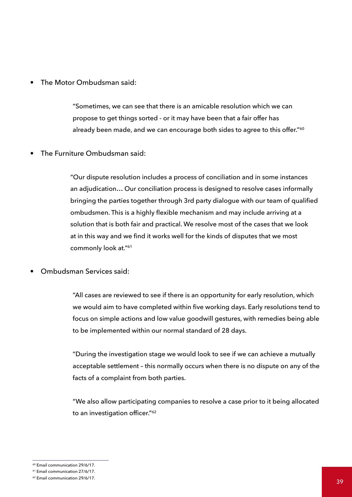The Motor Ombudsman said:

"Sometimes, we can see that there is an amicable resolution which we can propose to get things sorted - or it may have been that a fair offer has already been made, and we can encourage both sides to agree to this offer."<sup>60</sup>

• The Furniture Ombudsman said:

"Our dispute resolution includes a process of conciliation and in some instances an adjudication… Our conciliation process is designed to resolve cases informally bringing the parties together through 3rd party dialogue with our team of qualified ombudsmen. This is a highly flexible mechanism and may include arriving at a solution that is both fair and practical. We resolve most of the cases that we look at in this way and we find it works well for the kinds of disputes that we most commonly look at."61

• Ombudsman Services said:

 "All cases are reviewed to see if there is an opportunity for early resolution, which we would aim to have completed within five working days. Early resolutions tend to focus on simple actions and low value goodwill gestures, with remedies being able to be implemented within our normal standard of 28 days.

 "During the investigation stage we would look to see if we can achieve a mutually acceptable settlement – this normally occurs when there is no dispute on any of the facts of a complaint from both parties.

 "We also allow participating companies to resolve a case prior to it being allocated to an investigation officer."<sup>62</sup>

<sup>60</sup> Email communication 29/6/17.

<sup>61</sup> Email communication 27/6/17.

<sup>62</sup> Email communication 29/6/17.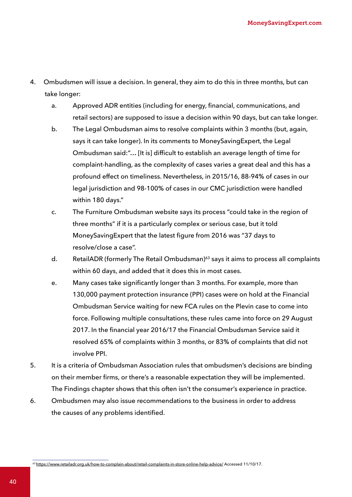- 4. Ombudsmen will issue a decision. In general, they aim to do this in three months, but can take longer:
	- a. Approved ADR entities (including for energy, financial, communications, and retail sectors) are supposed to issue a decision within 90 days, but can take longer.
	- b. The Legal Ombudsman aims to resolve complaints within 3 months (but, again, says it can take longer). In its comments to MoneySavingExpert, the Legal Ombudsman said:"… [It is] difficult to establish an average length of time for complaint-handling, as the complexity of cases varies a great deal and this has a profound effect on timeliness. Nevertheless, in 2015/16, 88-94% of cases in our legal jurisdiction and 98-100% of cases in our CMC jurisdiction were handled within 180 days."
	- c. The Furniture Ombudsman website says its process "could take in the region of three months" if it is a particularly complex or serious case, but it told MoneySavingExpert that the latest figure from 2016 was "37 days to resolve/close a case".
	- d. RetailADR (formerly The Retail Ombudsman)<sup>63</sup> says it aims to process all complaints within 60 days, and added that it does this in most cases.
	- e. Many cases take significantly longer than 3 months. For example, more than 130,000 payment protection insurance (PPI) cases were on hold at the Financial Ombudsman Service waiting for new FCA rules on the Plevin case to come into force. Following multiple consultations, these rules came into force on 29 August 2017. In the financial year 2016/17 the Financial Ombudsman Service said it resolved 65% of complaints within 3 months, or 83% of complaints that did not involve PPI.
- 5. It is a criteria of Ombudsman Association rules that ombudsmen's decisions are binding on their member firms, or there's a reasonable expectation they will be implemented. The Findings chapter shows that this often isn't the consumer's experience in practice.
- 6. Ombudsmen may also issue recommendations to the business in order to address the causes of any problems identified.

<sup>63</sup><https://www.retailadr.org.uk/how-to-complain-about/retail-complaints-in-store-online-help-advice/>Accessed 11/10/17.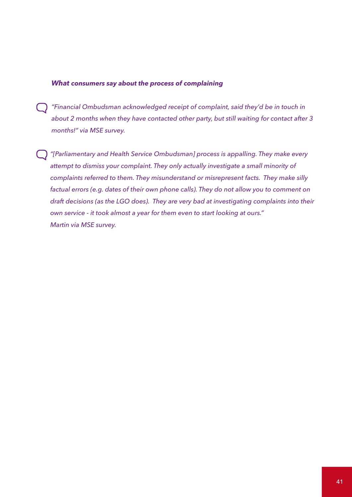#### *What consumers say about the process of complaining*

- *"Financial Ombudsman acknowledged receipt of complaint, said they'd be in touch in about 2 months when they have contacted other party, but still waiting for contact after 3 months!" via MSE survey.*
- *"[Parliamentary and Health Service Ombudsman] process is appalling. They make every attempt to dismiss your complaint. They only actually investigate a small minority of complaints referred to them. They misunderstand or misrepresent facts. They make silly factual errors (e.g. dates of their own phone calls). They do not allow you to comment on draft decisions (as the LGO does). They are very bad at investigating complaints into their own service - it took almost a year for them even to start looking at ours." Martin via MSE survey.*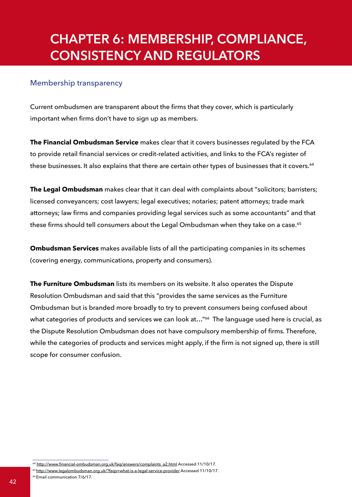## **CHAPTER 6: MEMBERSHIP, COMPLIANCE, CONSISTENCY AND REGULATORS**

#### Membership transparency

Current ombudsmen are transparent about the firms that they cover, which is particularly important when firms don't have to sign up as members.

**The Financial Ombudsman Service** makes clear that it covers businesses regulated by the FCA to provide retail financial services or credit-related activities, and links to the FCA's register of these businesses. It also explains that there are certain other types of businesses that it covers.<sup>64</sup>

**The Legal Ombudsman** makes clear that it can deal with complaints about "solicitors; barristers; licensed conveyancers; cost lawyers; legal executives; notaries; patent attorneys; trade mark attorneys; law firms and companies providing legal services such as some accountants" and that these firms should tell consumers about the Legal Ombudsman when they take on a case.<sup>65</sup>

**Ombudsman Services** makes available lists of all the participating companies in its schemes (covering energy, communications, property and consumers).

**The Furniture Ombudsman** lists its members on its website. It also operates the Dispute Resolution Ombudsman and said that this "provides the same services as the Furniture Ombudsman but is branded more broadly to try to prevent consumers being confused about what categories of products and services we can look at..."<sup>66</sup> The language used here is crucial, as the Dispute Resolution Ombudsman does not have compulsory membership of firms. Therefore, while the categories of products and services might apply, if the firm is not signed up, there is still scope for consumer confusion.

66 Email communication 7/6/17.

<sup>&</sup>lt;sup>64</sup> [http://www.financial-ombudsman.org.uk/faq/answers/complaints\\_a2.html](http://www.financial-ombudsman.org.uk/faq/answers/complaints_a2.html) Accessed 11/10/17.

<sup>65</sup><http://www.legalombudsman.org.uk/?faqs=what-is-a-legal-service-provider>Accessed 11/10/17.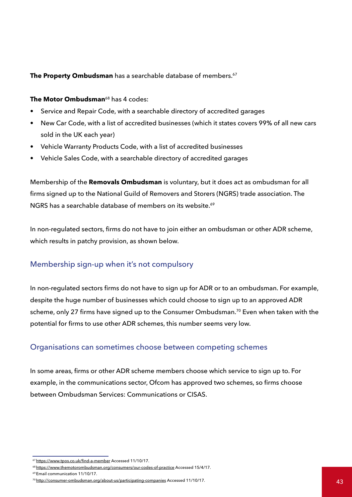#### **The Property Ombudsman** has a searchable database of members.<sup>67</sup>

#### **The Motor Ombudsman**<sup>68</sup> has 4 codes:

- Service and Repair Code, with a searchable directory of accredited garages
- New Car Code, with a list of accredited businesses (which it states covers 99% of all new cars sold in the UK each year)
- Vehicle Warranty Products Code, with a list of accredited businesses
- Vehicle Sales Code, with a searchable directory of accredited garages

Membership of the **Removals Ombudsman** is voluntary, but it does act as ombudsman for all firms signed up to the National Guild of Removers and Storers (NGRS) trade association. The NGRS has a searchable database of members on its website.<sup>69</sup>

In non-regulated sectors, firms do not have to join either an ombudsman or other ADR scheme, which results in patchy provision, as shown below.

## Membership sign-up when it's not compulsory

In non-regulated sectors firms do not have to sign up for ADR or to an ombudsman. For example, despite the huge number of businesses which could choose to sign up to an approved ADR scheme, only 27 firms have signed up to the Consumer Ombudsman.<sup>70</sup> Even when taken with the potential for firms to use other ADR schemes, this number seems very low.

### Organisations can sometimes choose between competing schemes

In some areas, firms or other ADR scheme members choose which service to sign up to. For example, in the communications sector, Ofcom has approved two schemes, so firms choose between Ombudsman Services: Communications or CISAS.

<sup>67</sup>https://www.tpos.co.uk/find-a-member Accessed 11/10/17.

<sup>&</sup>lt;sup>68</sup> https://www.themotorombudsman.org/consumers/our-codes-of-practice Accessed 15/4/17.

<sup>69</sup> Email communication 11/10/17.

<sup>&</sup>lt;sup>70</sup> http://consumer-ombudsman.org/about-us/participating-companies Accessed 11/10/17. 43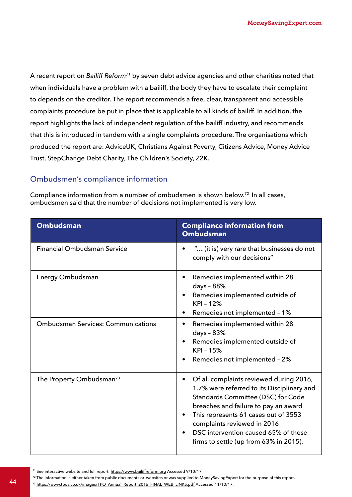A recent report on *Bailiff Reform71* by seven debt advice agencies and other charities noted that when individuals have a problem with a bailiff, the body they have to escalate their complaint to depends on the creditor. The report recommends a free, clear, transparent and accessible complaints procedure be put in place that is applicable to all kinds of bailiff. In addition, the report highlights the lack of independent regulation of the bailiff industry, and recommends that this is introduced in tandem with a single complaints procedure. The organisations which produced the report are: AdviceUK, Christians Against Poverty, Citizens Advice, Money Advice Trust, StepChange Debt Charity, The Children's Society, Z2K.

## Ombudsmen's compliance information

Compliance information from a number of ombudsmen is shown below.<sup>72</sup> In all cases, ombudsmen said that the number of decisions not implemented is very low.

| <b>Ombudsman</b>                                              | <b>Compliance information from</b><br><b>Ombudsman</b>                                                                                                                                                                                                                                                                            |
|---------------------------------------------------------------|-----------------------------------------------------------------------------------------------------------------------------------------------------------------------------------------------------------------------------------------------------------------------------------------------------------------------------------|
| <b>Financial Ombudsman Service</b>                            | " (it is) very rare that businesses do not<br>comply with our decisions"                                                                                                                                                                                                                                                          |
| Energy Ombudsman<br><b>Ombudsman Services: Communications</b> | Remedies implemented within 28<br>$\bullet$<br>days - 88%<br>Remedies implemented outside of<br>$\bullet$<br>KPI - 12%<br>Remedies not implemented - 1%<br>٠<br>Remedies implemented within 28<br>$\bullet$<br>days - 83%<br>Remedies implemented outside of<br>٠<br><b>KPI-15%</b><br>Remedies not implemented - 2%              |
| The Property Ombudsman <sup>73</sup>                          | Of all complaints reviewed during 2016,<br>1.7% were referred to its Disciplinary and<br>Standards Committee (DSC) for Code<br>breaches and failure to pay an award<br>This represents 61 cases out of 3553<br>٠<br>complaints reviewed in 2016<br>DSC intervention caused 65% of these<br>firms to settle (up from 63% in 2015). |

<sup>71</sup> See interactive website and full report:<https://www.bailiffreform.org>Accessed 9/10/17.

72 The information is either taken from public documents or websites or was supplied to MoneySavingExpert for the purpose of this report. 44 and monitoring circle taken hom papile documents of websites of was supplied to moneysaving Lipe<br>44 and 11/10/17. 44 and 12/10/17. 44 and 12/10/17. 44 and 12/10/17. 44 and 12/10/17. 44 and 11/10/17. 44 and 1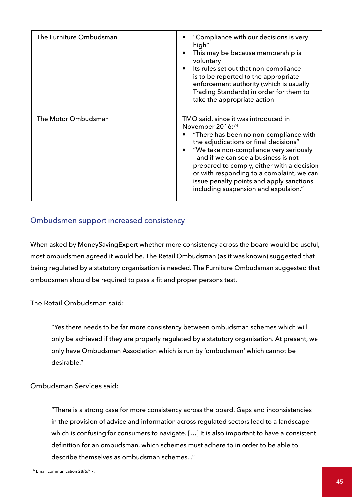| The Furniture Ombudsman | "Compliance with our decisions is very<br>high"<br>This may be because membership is<br>voluntary<br>Its rules set out that non-compliance<br>$\bullet$<br>is to be reported to the appropriate<br>enforcement authority (which is usually<br>Trading Standards) in order for them to<br>take the appropriate action                                                                                          |
|-------------------------|---------------------------------------------------------------------------------------------------------------------------------------------------------------------------------------------------------------------------------------------------------------------------------------------------------------------------------------------------------------------------------------------------------------|
| The Motor Ombudsman     | TMO said, since it was introduced in<br>November 2016:74<br>"There has been no non-compliance with<br>the adjudications or final decisions"<br>"We take non-compliance very seriously<br>- and if we can see a business is not<br>prepared to comply, either with a decision<br>or with responding to a complaint, we can<br>issue penalty points and apply sanctions<br>including suspension and expulsion." |

### Ombudsmen support increased consistency

When asked by MoneySavingExpert whether more consistency across the board would be useful, most ombudsmen agreed it would be. The Retail Ombudsman (as it was known) suggested that being regulated by a statutory organisation is needed. The Furniture Ombudsman suggested that ombudsmen should be required to pass a fit and proper persons test.

The Retail Ombudsman said:

"Yes there needs to be far more consistency between ombudsman schemes which will only be achieved if they are properly regulated by a statutory organisation. At present, we only have Ombudsman Association which is run by 'ombudsman' which cannot be desirable."

#### Ombudsman Services said:

"There is a strong case for more consistency across the board. Gaps and inconsistencies in the provision of advice and information across regulated sectors lead to a landscape which is confusing for consumers to navigate. […] It is also important to have a consistent definition for an ombudsman, which schemes must adhere to in order to be able to describe themselves as ombudsman schemes..."

<sup>74</sup> Email communication 28/6/17.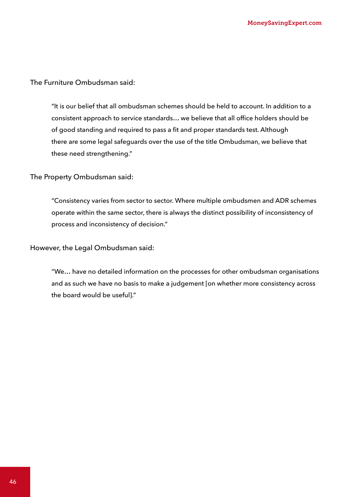The Furniture Ombudsman said:

"It is our belief that all ombudsman schemes should be held to account. In addition to a consistent approach to service standards… we believe that all office holders should be of good standing and required to pass a fit and proper standards test. Although there are some legal safeguards over the use of the title Ombudsman, we believe that these need strengthening."

The Property Ombudsman said:

"Consistency varies from sector to sector. Where multiple ombudsmen and ADR schemes operate within the same sector, there is always the distinct possibility of inconsistency of process and inconsistency of decision."

However, the Legal Ombudsman said:

"We… have no detailed information on the processes for other ombudsman organisations and as such we have no basis to make a judgement [on whether more consistency across the board would be useful]."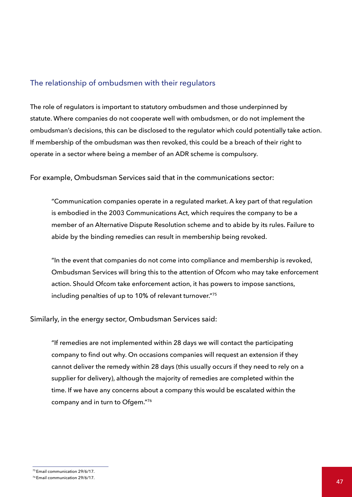### The relationship of ombudsmen with their regulators

The role of regulators is important to statutory ombudsmen and those underpinned by statute. Where companies do not cooperate well with ombudsmen, or do not implement the ombudsman's decisions, this can be disclosed to the regulator which could potentially take action. If membership of the ombudsman was then revoked, this could be a breach of their right to operate in a sector where being a member of an ADR scheme is compulsory.

For example, Ombudsman Services said that in the communications sector:

"Communication companies operate in a regulated market. A key part of that regulation is embodied in the 2003 Communications Act, which requires the company to be a member of an Alternative Dispute Resolution scheme and to abide by its rules. Failure to abide by the binding remedies can result in membership being revoked.

"In the event that companies do not come into compliance and membership is revoked, Ombudsman Services will bring this to the attention of Ofcom who may take enforcement action. Should Ofcom take enforcement action, it has powers to impose sanctions, including penalties of up to 10% of relevant turnover."75

Similarly, in the energy sector, Ombudsman Services said:

"If remedies are not implemented within 28 days we will contact the participating company to find out why. On occasions companies will request an extension if they cannot deliver the remedy within 28 days (this usually occurs if they need to rely on a supplier for delivery), although the majority of remedies are completed within the time. If we have any concerns about a company this would be escalated within the company and in turn to Ofgem."76

<sup>75</sup> Email communication 29/6/17.

<sup>76</sup> Email communication 29/6/17.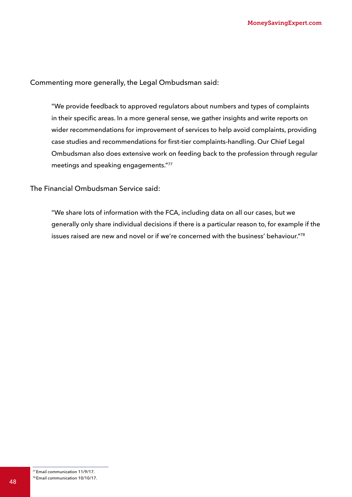Commenting more generally, the Legal Ombudsman said:

"We provide feedback to approved regulators about numbers and types of complaints in their specific areas. In a more general sense, we gather insights and write reports on wider recommendations for improvement of services to help avoid complaints, providing case studies and recommendations for first-tier complaints-handling. Our Chief Legal Ombudsman also does extensive work on feeding back to the profession through regular meetings and speaking engagements."77

The Financial Ombudsman Service said:

"We share lots of information with the FCA, including data on all our cases, but we generally only share individual decisions if there is a particular reason to, for example if the issues raised are new and novel or if we're concerned with the business' behaviour."78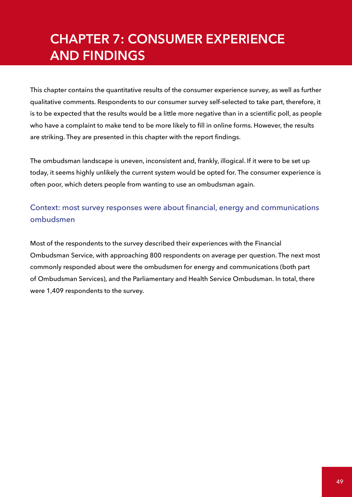# **CHAPTER 7: CONSUMER EXPERIENCE AND FINDINGS**

This chapter contains the quantitative results of the consumer experience survey, as well as further qualitative comments. Respondents to our consumer survey self-selected to take part, therefore, it is to be expected that the results would be a little more negative than in a scientific poll, as people who have a complaint to make tend to be more likely to fill in online forms. However, the results are striking. They are presented in this chapter with the report findings.

The ombudsman landscape is uneven, inconsistent and, frankly, illogical. If it were to be set up today, it seems highly unlikely the current system would be opted for. The consumer experience is often poor, which deters people from wanting to use an ombudsman again.

Context: most survey responses were about financial, energy and communications ombudsmen

Most of the respondents to the survey described their experiences with the Financial Ombudsman Service, with approaching 800 respondents on average per question. The next most commonly responded about were the ombudsmen for energy and communications (both part of Ombudsman Services), and the Parliamentary and Health Service Ombudsman. In total, there were 1,409 respondents to the survey.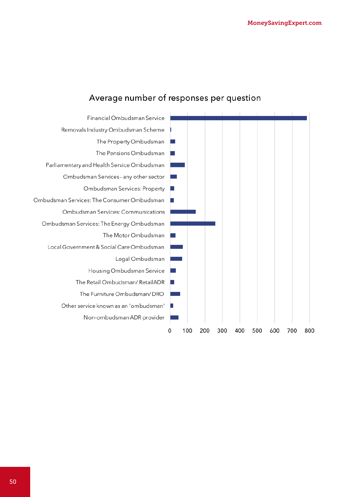

## Average number of responses per question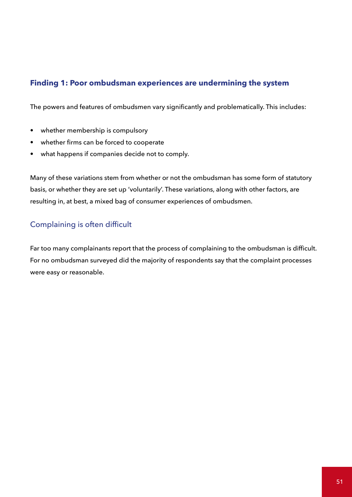## **Finding 1: Poor ombudsman experiences are undermining the system**

The powers and features of ombudsmen vary significantly and problematically. This includes:

- whether membership is compulsory
- whether firms can be forced to cooperate
- what happens if companies decide not to comply.

Many of these variations stem from whether or not the ombudsman has some form of statutory basis, or whether they are set up 'voluntarily'. These variations, along with other factors, are resulting in, at best, a mixed bag of consumer experiences of ombudsmen.

## Complaining is often difficult

Far too many complainants report that the process of complaining to the ombudsman is difficult. For no ombudsman surveyed did the majority of respondents say that the complaint processes were easy or reasonable.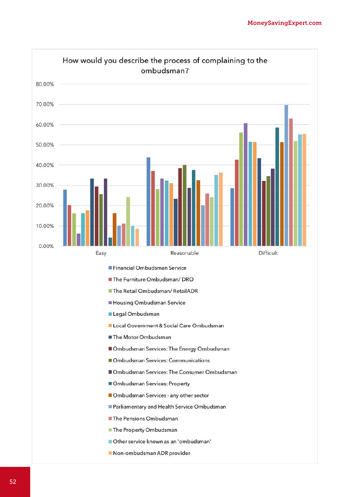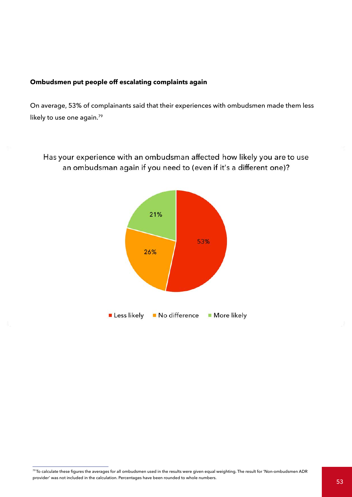#### **Ombudsmen put people off escalating complaints again**

S.

On average, 53% of complainants said that their experiences with ombudsmen made them less likely to use one again.<sup>79</sup>

Has your experience with an ombudsman affected how likely you are to use an ombudsman again if you need to (even if it's a different one)?



<sup>79</sup>To calculate these figures the averages for all ombudsmen used in the results were given equal weighting. The result for 'Non-ombudsmen ADR provider' was not included in the calculation. Percentages have been rounded to whole numbers.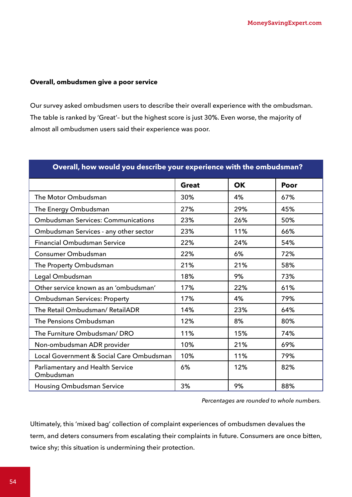#### **Overall, ombudsmen give a poor service**

Our survey asked ombudsmen users to describe their overall experience with the ombudsman. The table is ranked by 'Great'– but the highest score is just 30%. Even worse, the majority of almost all ombudsmen users said their experience was poor.

| Overall, how would you describe your experience with the ombudsman? |              |           |      |  |
|---------------------------------------------------------------------|--------------|-----------|------|--|
|                                                                     | <b>Great</b> | <b>OK</b> | Poor |  |
| The Motor Ombudsman                                                 | 30%          | 4%        | 67%  |  |
| The Energy Ombudsman                                                | 27%          | 29%       | 45%  |  |
| <b>Ombudsman Services: Communications</b>                           | 23%          | 26%       | 50%  |  |
| Ombudsman Services - any other sector                               | 23%          | 11%       | 66%  |  |
| <b>Financial Ombudsman Service</b>                                  | 22%          | 24%       | 54%  |  |
| Consumer Ombudsman                                                  | 22%          | 6%        | 72%  |  |
| The Property Ombudsman                                              | 21%          | 21%       | 58%  |  |
| Legal Ombudsman                                                     | 18%          | 9%        | 73%  |  |
| Other service known as an 'ombudsman'                               | 17%          | 22%       | 61%  |  |
| <b>Ombudsman Services: Property</b>                                 | 17%          | 4%        | 79%  |  |
| The Retail Ombudsman/ RetailADR                                     | 14%          | 23%       | 64%  |  |
| The Pensions Ombudsman                                              | 12%          | 8%        | 80%  |  |
| The Furniture Ombudsman/ DRO                                        | 11%          | 15%       | 74%  |  |
| Non-ombudsman ADR provider                                          | 10%          | 21%       | 69%  |  |
| Local Government & Social Care Ombudsman                            | 10%          | 11%       | 79%  |  |
| Parliamentary and Health Service<br>Ombudsman                       | 6%           | 12%       | 82%  |  |
| <b>Housing Ombudsman Service</b>                                    | 3%           | 9%        | 88%  |  |

*Percentages are rounded to whole numbers.*

Ultimately, this 'mixed bag' collection of complaint experiences of ombudsmen devalues the term, and deters consumers from escalating their complaints in future. Consumers are once bitten, twice shy; this situation is undermining their protection.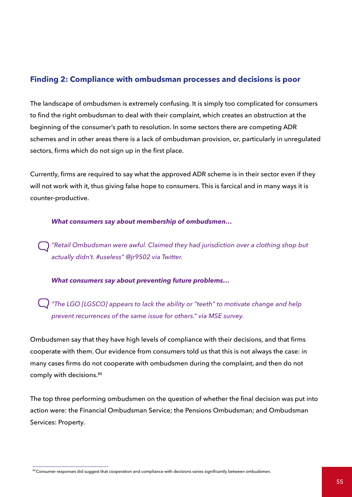## **Finding 2: Compliance with ombudsman processes and decisions is poor**

The landscape of ombudsmen is extremely confusing. It is simply too complicated for consumers to find the right ombudsman to deal with their complaint, which creates an obstruction at the beginning of the consumer's path to resolution. In some sectors there are competing ADR schemes and in other areas there is a lack of ombudsman provision, or, particularly in unregulated sectors, firms which do not sign up in the first place.

Currently, firms are required to say what the approved ADR scheme is in their sector even if they will not work with it, thus giving false hope to consumers. This is farcical and in many ways it is counter-productive.

#### *What consumers say about membership of ombudsmen…*

*"Retail Ombudsman were awful. Claimed they had jurisdiction over a clothing shop but actually didn't. #useless" @jr9502 via Twitter.*

#### *What consumers say about preventing future problems…*

*"The LGO [LGSCO] appears to lack the ability or "teeth" to motivate change and help prevent recurrences of the same issue for others." via MSE survey.*

Ombudsmen say that they have high levels of compliance with their decisions, and that firms cooperate with them. Our evidence from consumers told us that this is not always the case: in many cases firms do not cooperate with ombudsmen during the complaint, and then do not comply with decisions.<sup>80</sup>

The top three performing ombudsmen on the question of whether the final decision was put into action were: the Financial Ombudsman Service; the Pensions Ombudsman; and Ombudsman Services: Property.

<sup>80</sup> Consumer responses did suggest that cooperation and compliance with decisions varies significantly between ombudsmen.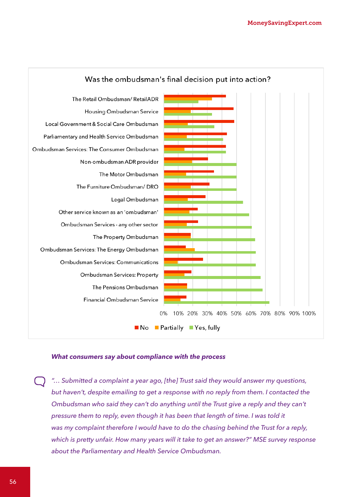

#### *What consumers say about compliance with the process*

*"… Submitted a complaint a year ago, [the] Trust said they would answer my questions, but haven't, despite emailing to get a response with no reply from them. I contacted the Ombudsman who said they can't do anything until the Trust give a reply and they can't pressure them to reply, even though it has been that length of time. I was told it was my complaint therefore I would have to do the chasing behind the Trust for a reply, which is pretty unfair. How many years will it take to get an answer?" MSE survey response about the Parliamentary and Health Service Ombudsman.*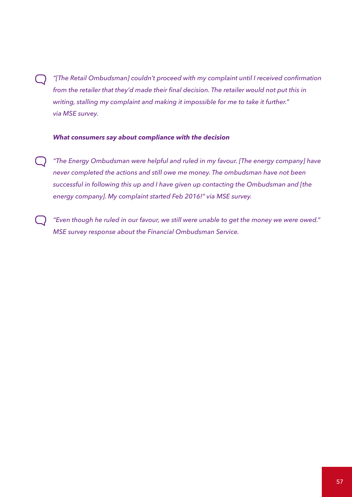*"[The Retail Ombudsman] couldn't proceed with my complaint until I received confirmation from the retailer that they'd made their final decision. The retailer would not put this in writing, stalling my complaint and making it impossible for me to take it further." via MSE survey.*

#### *What consumers say about compliance with the decision*

- *"The Energy Ombudsman were helpful and ruled in my favour. [The energy company] have*   $(\ )$ *never completed the actions and still owe me money. The ombudsman have not been successful in following this up and I have given up contacting the Ombudsman and [the energy company]. My complaint started Feb 2016!" via MSE survey.*
	- *"Even though he ruled in our favour, we still were unable to get the money we were owed." MSE survey response about the Financial Ombudsman Service.*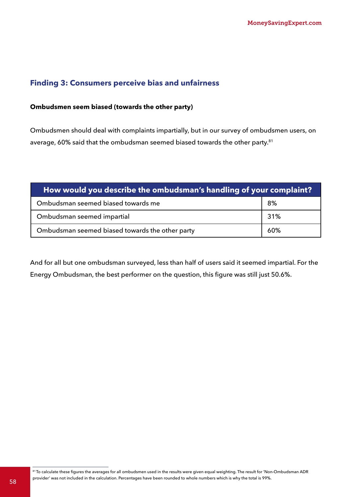## **Finding 3: Consumers perceive bias and unfairness**

#### **Ombudsmen seem biased (towards the other party)**

Ombudsmen should deal with complaints impartially, but in our survey of ombudsmen users, on average, 60% said that the ombudsman seemed biased towards the other party.<sup>81</sup>

| How would you describe the ombudsman's handling of your complaint? |     |  |  |
|--------------------------------------------------------------------|-----|--|--|
| Ombudsman seemed biased towards me                                 | 8%  |  |  |
| Ombudsman seemed impartial                                         | 31% |  |  |
| Ombudsman seemed biased towards the other party                    | 60% |  |  |

And for all but one ombudsman surveyed, less than half of users said it seemed impartial. For the Energy Ombudsman, the best performer on the question, this figure was still just 50.6%.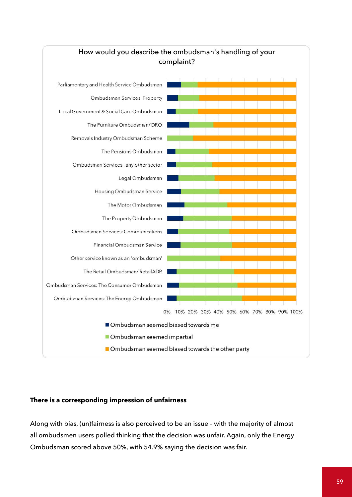

## How would you describe the ombudsman's handling of your complaint?

### **There is a corresponding impression of unfairness**

Along with bias, (un)fairness is also perceived to be an issue – with the majority of almost all ombudsmen users polled thinking that the decision was unfair. Again, only the Energy Ombudsman scored above 50%, with 54.9% saying the decision was fair.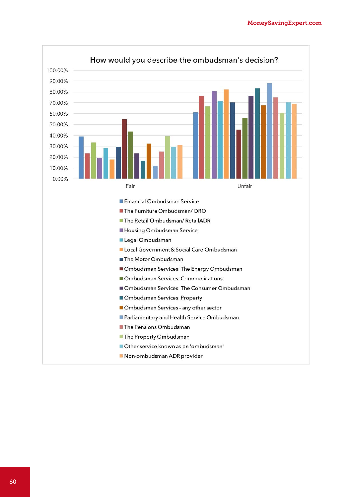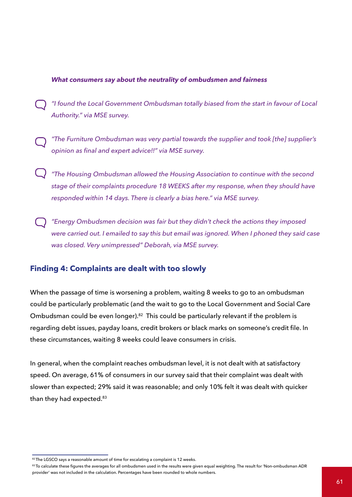#### *What consumers say about the neutrality of ombudsmen and fairness*

- *"I found the Local Government Ombudsman totally biased from the start in favour of Local Authority." via MSE survey.*
- *"The Furniture Ombudsman was very partial towards the supplier and took [the] supplier's opinion as final and expert advice!!" via MSE survey.*
- *"The Housing Ombudsman allowed the Housing Association to continue with the second stage of their complaints procedure 18 WEEKS after my response, when they should have responded within 14 days. There is clearly a bias here." via MSE survey.*
- *"Energy Ombudsmen decision was fair but they didn't check the actions they imposed were carried out. I emailed to say this but email was ignored. When I phoned they said case was closed. Very unimpressed" Deborah, via MSE survey.*

### **Finding 4: Complaints are dealt with too slowly**

When the passage of time is worsening a problem, waiting 8 weeks to go to an ombudsman could be particularly problematic (and the wait to go to the Local Government and Social Care Ombudsman could be even longer).<sup>82</sup> This could be particularly relevant if the problem is regarding debt issues, payday loans, credit brokers or black marks on someone's credit file. In these circumstances, waiting 8 weeks could leave consumers in crisis.

In general, when the complaint reaches ombudsman level, it is not dealt with at satisfactory speed. On average, 61% of consumers in our survey said that their complaint was dealt with slower than expected; 29% said it was reasonable; and only 10% felt it was dealt with quicker than they had expected.<sup>83</sup>

<sup>82</sup> The LGSCO says a reasonable amount of time for escalating a complaint is 12 weeks.

<sup>83</sup> To calculate these figures the averages for all ombudsmen used in the results were given equal weighting. The result for 'Non-ombudsman ADR provider' was not included in the calculation. Percentages have been rounded to whole numbers.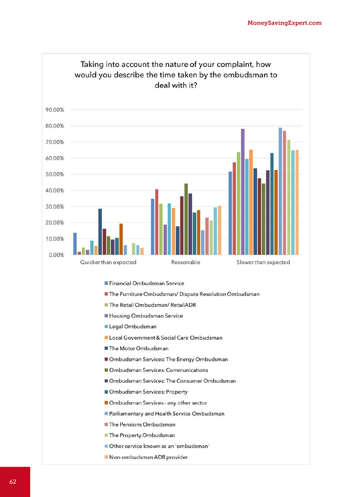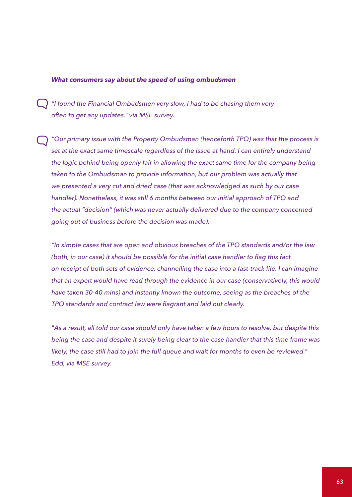#### *What consumers say about the speed of using ombudsmen*

*"I found the Financial Ombudsmen very slow, I had to be chasing them very often to get any updates." via MSE survey.*

*"Our primary issue with the Property Ombudsman (henceforth TPO) was that the process is set at the exact same timescale regardless of the issue at hand. I can entirely understand the logic behind being openly fair in allowing the exact same time for the company being*  taken to the Ombudsman to provide information, but our problem was actually that *we presented a very cut and dried case (that was acknowledged as such by our case handler). Nonetheless, it was still 6 months between our initial approach of TPO and the actual "decision" (which was never actually delivered due to the company concerned going out of business before the decision was made).*

*"In simple cases that are open and obvious breaches of the TPO standards and/or the law (both, in our case) it should be possible for the initial case handler to flag this fact on receipt of both sets of evidence, channelling the case into a fast-track file. I can imagine that an expert would have read through the evidence in our case (conservatively, this would have taken 30-40 mins) and instantly known the outcome, seeing as the breaches of the TPO standards and contract law were flagrant and laid out clearly.*

*"As a result, all told our case should only have taken a few hours to resolve, but despite this being the case and despite it surely being clear to the case handler that this time frame was likely, the case still had to join the full queue and wait for months to even be reviewed." Edd, via MSE survey.*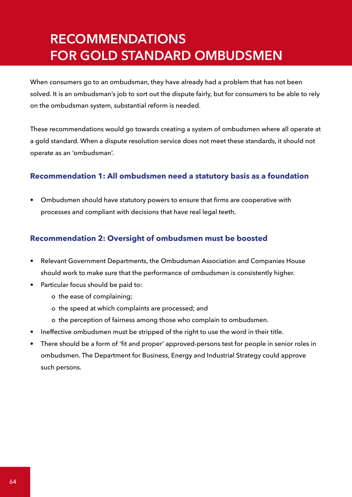## **RECOMMENDATIONS FOR GOLD STANDARD OMBUDSMEN**

When consumers go to an ombudsman, they have already had a problem that has not been solved. It is an ombudsman's job to sort out the dispute fairly, but for consumers to be able to rely on the ombudsman system, substantial reform is needed.

These recommendations would go towards creating a system of ombudsmen where all operate at a gold standard. When a dispute resolution service does not meet these standards, it should not operate as an 'ombudsman'.

## **Recommendation 1: All ombudsmen need a statutory basis as a foundation**

• Ombudsmen should have statutory powers to ensure that firms are cooperative with processes and compliant with decisions that have real legal teeth.

## **Recommendation 2: Oversight of ombudsmen must be boosted**

- Relevant Government Departments, the Ombudsman Association and Companies House should work to make sure that the performance of ombudsmen is consistently higher.
- Particular focus should be paid to:
	- o the ease of complaining;
	- o the speed at which complaints are processed; and
	- o the perception of fairness among those who complain to ombudsmen.
- Ineffective ombudsmen must be stripped of the right to use the word in their title.
- There should be a form of 'fit and proper' approved-persons test for people in senior roles in ombudsmen. The Department for Business, Energy and Industrial Strategy could approve such persons.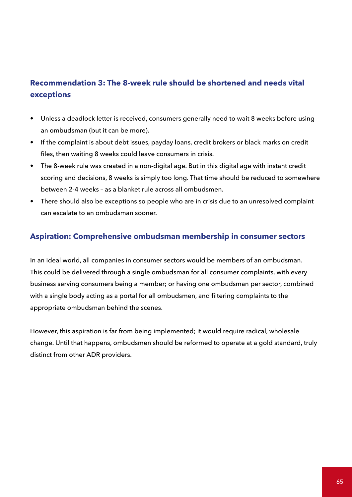## **Recommendation 3: The 8-week rule should be shortened and needs vital exceptions**

- Unless a deadlock letter is received, consumers generally need to wait 8 weeks before using an ombudsman (but it can be more).
- If the complaint is about debt issues, payday loans, credit brokers or black marks on credit files, then waiting 8 weeks could leave consumers in crisis.
- The 8-week rule was created in a non-digital age. But in this digital age with instant credit scoring and decisions, 8 weeks is simply too long. That time should be reduced to somewhere between 2-4 weeks – as a blanket rule across all ombudsmen.
- There should also be exceptions so people who are in crisis due to an unresolved complaint can escalate to an ombudsman sooner.

## **Aspiration: Comprehensive ombudsman membership in consumer sectors**

In an ideal world, all companies in consumer sectors would be members of an ombudsman. This could be delivered through a single ombudsman for all consumer complaints, with every business serving consumers being a member; or having one ombudsman per sector, combined with a single body acting as a portal for all ombudsmen, and filtering complaints to the appropriate ombudsman behind the scenes.

However, this aspiration is far from being implemented; it would require radical, wholesale change. Until that happens, ombudsmen should be reformed to operate at a gold standard, truly distinct from other ADR providers.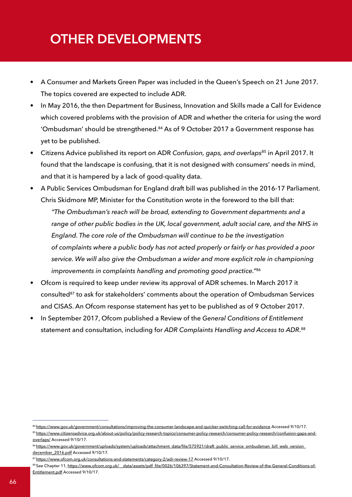## **OTHER DEVELOPMENTS**

- A Consumer and Markets Green Paper was included in the Queen's Speech on 21 June 2017. The topics covered are expected to include ADR.
- In May 2016, the then Department for Business, Innovation and Skills made a Call for Evidence which covered problems with the provision of ADR and whether the criteria for using the word 'Ombudsman' should be strengthened.84 As of 9 October 2017 a Government response has yet to be published.
- Citizens Advice published its report on ADR *Confusion, gaps, and overlaps*85 in April 2017. It found that the landscape is confusing, that it is not designed with consumers' needs in mind, and that it is hampered by a lack of good-quality data.
- A Public Services Ombudsman for England draft bill was published in the 2016-17 Parliament. Chris Skidmore MP, Minister for the Constitution wrote in the foreword to the bill that:

*"The Ombudsman's reach will be broad, extending to Government departments and a range of other public bodies in the UK, local government, adult social care, and the NHS in England. The core role of the Ombudsman will continue to be the investigation of complaints where a public body has not acted properly or fairly or has provided a poor service. We will also give the Ombudsman a wider and more explicit role in championing improvements in complaints handling and promoting good practice."*<sup>86</sup>

- Ofcom is required to keep under review its approval of ADR schemes. In March 2017 it consulted<sup>87</sup> to ask for stakeholders' comments about the operation of Ombudsman Services and CISAS. An Ofcom response statement has yet to be published as of 9 October 2017.
- In September 2017, Ofcom published a Review of the *General Conditions of Entitlement*  statement and consultation, including for *ADR Complaints Handling and Access to ADR*. 88

<sup>84</sup> [https://www.gov.uk/government/consultations/improving-the-consumer-landscape-and-quicker-switching-call-for-evidence](https://www.gov.uk/government/consultations/improving-the-consumer-landscape-and-quicker-switching-c) Accessed 9/10/17.

<sup>85</sup> [https://www.citizensadvice.org.uk/about-us/policy/policy-research-topics/consumer-policy-research/consumer-policy-research/confusion-gaps-and](https://www.citizensadvice.org.uk/about-us/policy/policy-research-topics/consumer-policy-research/co)[overlaps/](https://www.citizensadvice.org.uk/about-us/policy/policy-research-topics/consumer-policy-research/co) Accessed 9/10/17.

<sup>86</sup>[https://www.gov.uk/government/uploads/system/uploads/attachment\\_data/file/575921/draft\\_public\\_service\\_ombudsman\\_bill\\_web\\_version\\_](https://www.gov.uk/government/uploads/system/uploads/attachment_data/file/575921/draft_public_servic) december 2016.pdf Accessed 9/10/17.

<sup>87</sup><https://www.ofcom.org.uk/consultations-and-statements/category-2/adr-review-17>Accessed 9/10/17.

<sup>88</sup> See Chapter 11, https://www.ofcom.org.uk/ data/assets/pdf file/0026/106397/Statement-and-Consultation-Review-of-the-General-Conditions-of-[Entitlement.pdf](https://www.ofcom.org.uk/__data/assets/pdf_file/0026/106397/Statement-and-Consultation-Review-of-the) Accessed 9/10/17.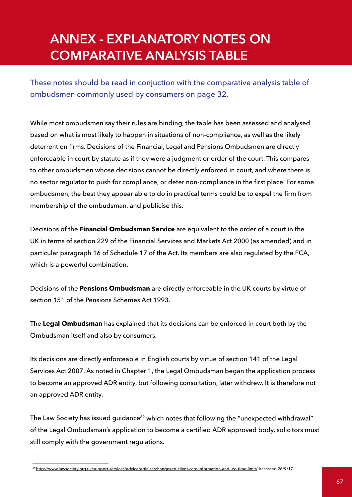## **ANNEX - EXPLANATORY NOTES ON COMPARATIVE ANALYSIS TABLE**

These notes should be read in conjuction with the comparative analysis table of ombudsmen commonly used by consumers on page 32.

While most ombudsmen say their rules are binding, the table has been assessed and analysed based on what is most likely to happen in situations of non-compliance, as well as the likely deterrent on firms. Decisions of the Financial, Legal and Pensions Ombudsmen are directly enforceable in court by statute as if they were a judgment or order of the court. This compares to other ombudsmen whose decisions cannot be directly enforced in court, and where there is no sector regulator to push for compliance, or deter non-compliance in the first place. For some ombudsmen, the best they appear able to do in practical terms could be to expel the firm from membership of the ombudsman, and publicise this.

Decisions of the **Financial Ombudsman Service** are equivalent to the order of a court in the UK in terms of section 229 of the Financial Services and Markets Act 2000 (as amended) and in particular paragraph 16 of Schedule 17 of the Act. Its members are also regulated by the FCA, which is a powerful combination.

Decisions of the **Pensions Ombudsman** are directly enforceable in the UK courts by virtue of section 151 of the Pensions Schemes Act 1993.

The **Legal Ombudsman** has explained that its decisions can be enforced in court both by the Ombudsman itself and also by consumers.

Its decisions are directly enforceable in English courts by virtue of section 141 of the Legal Services Act 2007. As noted in Chapter 1, the Legal Ombudsman began the application process to become an approved ADR entity, but following consultation, later withdrew. It is therefore not an approved ADR entity.

The Law Society has issued guidance<sup>89</sup> which notes that following the "unexpected withdrawal" of the Legal Ombudsman's application to become a certified ADR approved body, solicitors must still comply with the government regulations.

<sup>89</sup> http://www.lawsociety.org.uk/support-services/advice/articles/changes-to-client-care-information-and-leo-time-limit/ Accessed 26/9/17.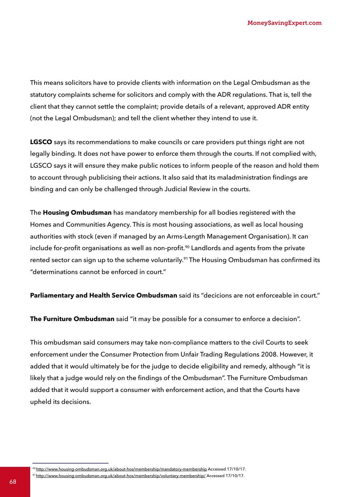This means solicitors have to provide clients with information on the Legal Ombudsman as the statutory complaints scheme for solicitors and comply with the ADR regulations. That is, tell the client that they cannot settle the complaint; provide details of a relevant, approved ADR entity (not the Legal Ombudsman); and tell the client whether they intend to use it.

**LGSCO** says its recommendations to make councils or care providers put things right are not legally binding. It does not have power to enforce them through the courts. If not complied with, LGSCO says it will ensure they make public notices to inform people of the reason and hold them to account through publicising their actions. It also said that its maladministration findings are binding and can only be challenged through Judicial Review in the courts.

The **Housing Ombudsman** has mandatory membership for all bodies registered with the Homes and Communities Agency. This is most housing associations, as well as local housing authorities with stock (even if managed by an Arms-Length Management Organisation). It can include for-profit organisations as well as non-profit.<sup>90</sup> Landlords and agents from the private rented sector can sign up to the scheme voluntarily.<sup>91</sup> The Housing Ombudsman has confirmed its "determinations cannot be enforced in court."

**Parliamentary and Health Service Ombudsman** said its "decicions are not enforceable in court."

**The Furniture Ombudsman** said "it may be possible for a consumer to enforce a decision".

This ombudsman said consumers may take non-compliance matters to the civil Courts to seek enforcement under the Consumer Protection from Unfair Trading Regulations 2008. However, it added that it would ultimately be for the judge to decide eligibility and remedy, although "it is likely that a judge would rely on the findings of the Ombudsman". The Furniture Ombudsman added that it would support a consumer with enforcement action, and that the Courts have upheld its decisions.

<sup>90</sup><http://www.housing-ombudsman.org.uk/about-hos/membership/mandatory-membership> Accessed 17/10/17.

<sup>91</sup><http://www.housing-ombudsman.org.uk/about-hos/membership/voluntary-membership/>Accessed 17/10/17.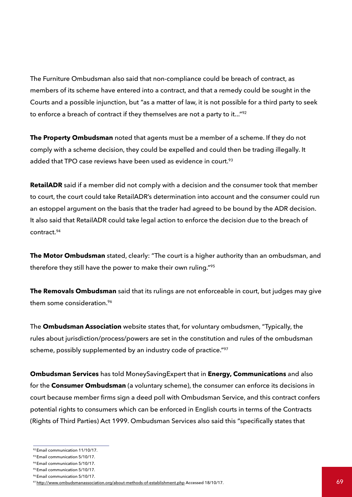The Furniture Ombudsman also said that non-compliance could be breach of contract, as members of its scheme have entered into a contract, and that a remedy could be sought in the Courts and a possible injunction, but "as a matter of law, it is not possible for a third party to seek to enforce a breach of contract if they themselves are not a party to it..."92

**The Property Ombudsman** noted that agents must be a member of a scheme. If they do not comply with a scheme decision, they could be expelled and could then be trading illegally. It added that TPO case reviews have been used as evidence in court.<sup>93</sup>

**RetailADR** said if a member did not comply with a decision and the consumer took that member to court, the court could take RetailADR's determination into account and the consumer could run an estoppel argument on the basis that the trader had agreed to be bound by the ADR decision. It also said that RetailADR could take legal action to enforce the decision due to the breach of contract.94

**The Motor Ombudsman** stated, clearly: "The court is a higher authority than an ombudsman, and therefore they still have the power to make their own ruling."95

**The Removals Ombudsman** said that its rulings are not enforceable in court, but judges may give them some consideration.<sup>96</sup>

The **Ombudsman Association** website states that, for voluntary ombudsmen, "Typically, the rules about jurisdiction/process/powers are set in the constitution and rules of the ombudsman scheme, possibly supplemented by an industry code of practice."97

**Ombudsman Services** has told MoneySavingExpert that in **Energy, Communications** and also for the **Consumer Ombudsman** (a voluntary scheme), the consumer can enforce its decisions in court because member firms sign a deed poll with Ombudsman Service, and this contract confers potential rights to consumers which can be enforced in English courts in terms of the Contracts (Rights of Third Parties) Act 1999. Ombudsman Services also said this "specifically states that

<sup>92</sup> Email communication 11/10/17.

<sup>93</sup> Email communication 5/10/17.

<sup>94</sup> Email communication 5/10/17.

<sup>95</sup> Email communication 5/10/17.

<sup>96</sup> Email communication 5/10/17.

ential communication of the control of the control of the control of the control of the control of the control of the control of the control of the control of the control of the control of the control of the control of the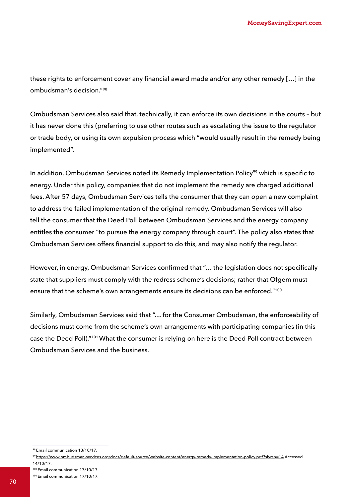these rights to enforcement cover any financial award made and/or any other remedy […] in the ombudsman's decision."98

Ombudsman Services also said that, technically, it can enforce its own decisions in the courts – but it has never done this (preferring to use other routes such as escalating the issue to the regulator or trade body, or using its own expulsion process which "would usually result in the remedy being implemented".

In addition, Ombudsman Services noted its Remedy Implementation Policy<sup>99</sup> which is specific to energy. Under this policy, companies that do not implement the remedy are charged additional fees. After 57 days, Ombudsman Services tells the consumer that they can open a new complaint to address the failed implementation of the original remedy. Ombudsman Services will also tell the consumer that the Deed Poll between Ombudsman Services and the energy company entitles the consumer "to pursue the energy company through court". The policy also states that Ombudsman Services offers financial support to do this, and may also notify the regulator.

However, in energy, Ombudsman Services confirmed that "… the legislation does not specifically state that suppliers must comply with the redress scheme's decisions; rather that Ofgem must ensure that the scheme's own arrangements ensure its decisions can be enforced."<sup>100</sup>

Similarly, Ombudsman Services said that "… for the Consumer Ombudsman, the enforceability of decisions must come from the scheme's own arrangements with participating companies (in this case the Deed Poll)."101 What the consumer is relying on here is the Deed Poll contract between Ombudsman Services and the business.

100 Email communication 17/10/17.

<sup>98</sup> Email communication 13/10/17.

<sup>99</sup> [https://www.ombudsman-services.org/docs/default-source/website-content/energy-remedy-implementation-policy.pdf?sfvrsn=14](https://www.ombudsman-services.org/docs/default-source/website-content/energy-remedy-implementation-) Accessed 14/10/17.

<sup>101</sup> Email communication 17/10/17.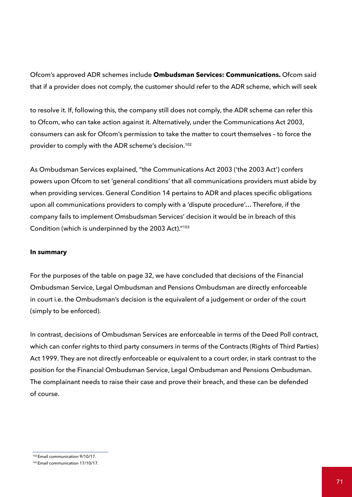Ofcom's approved ADR schemes include **Ombudsman Services: Communications.** Ofcom said that if a provider does not comply, the customer should refer to the ADR scheme, which will seek

to resolve it. If, following this, the company still does not comply, the ADR scheme can refer this to Ofcom, who can take action against it. Alternatively, under the Communications Act 2003, consumers can ask for Ofcom's permission to take the matter to court themselves – to force the provider to comply with the ADR scheme's decision.<sup>102</sup>

As Ombudsman Services explained, "the Communications Act 2003 ('the 2003 Act') confers powers upon Ofcom to set 'general conditions' that all communications providers must abide by when providing services. General Condition 14 pertains to ADR and places specific obligations upon all communications providers to comply with a 'dispute procedure'… Therefore, if the company fails to implement Omsbudsman Services' decision it would be in breach of this Condition (which is underpinned by the 2003 Act)."103

#### **In summary**

For the purposes of the table on page 32, we have concluded that decisions of the Financial Ombudsman Service, Legal Ombudsman and Pensions Ombudsman are directly enforceable in court i.e. the Ombudsman's decision is the equivalent of a judgement or order of the court (simply to be enforced).

In contrast, decisions of Ombudsman Services are enforceable in terms of the Deed Poll contract, which can confer rights to third party consumers in terms of the Contracts (Rights of Third Parties) Act 1999. They are not directly enforceable or equivalent to a court order, in stark contrast to the position for the Financial Ombudsman Service, Legal Ombudsman and Pensions Ombudsman. The complainant needs to raise their case and prove their breach, and these can be defended of course.

<sup>102</sup> Email communication 9/10/17.

<sup>103</sup> Email communication 17/10/17.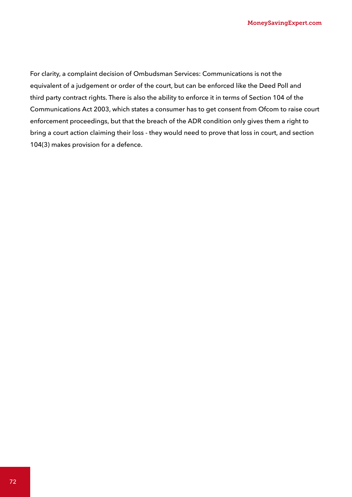For clarity, a complaint decision of Ombudsman Services: Communications is not the equivalent of a judgement or order of the court, but can be enforced like the Deed Poll and third party contract rights. There is also the ability to enforce it in terms of Section 104 of the Communications Act 2003, which states a consumer has to get consent from Ofcom to raise court enforcement proceedings, but that the breach of the ADR condition only gives them a right to bring a court action claiming their loss - they would need to prove that loss in court, and section 104(3) makes provision for a defence.